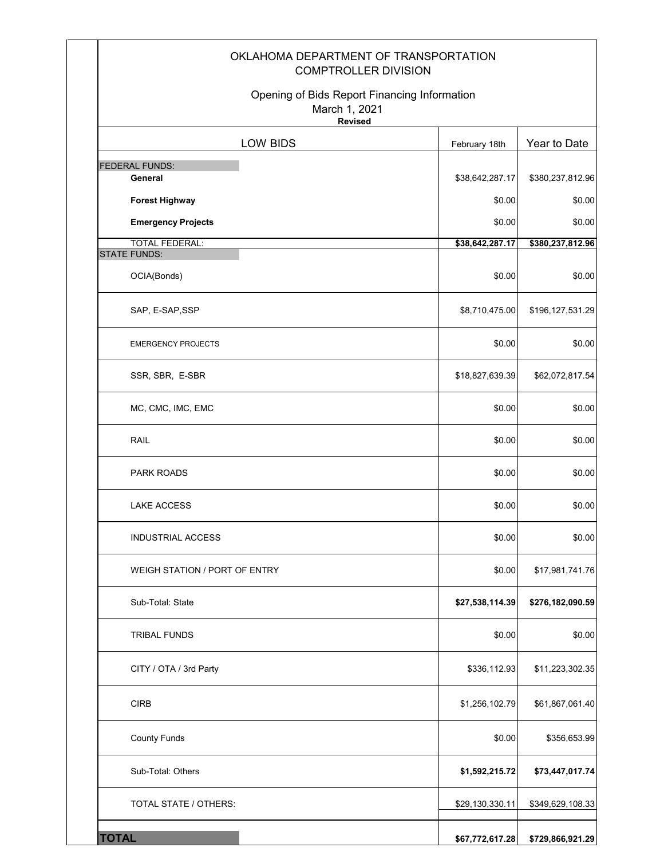| OKLAHOMA DEPARTMENT OF TRANSPORTATION<br><b>COMPTROLLER DIVISION</b>            |                 |                            |
|---------------------------------------------------------------------------------|-----------------|----------------------------|
| Opening of Bids Report Financing Information<br>March 1, 2021<br><b>Revised</b> |                 |                            |
| LOW BIDS                                                                        | February 18th   | Year to Date               |
| <b>FEDERAL FUNDS:</b><br>General                                                | \$38,642,287.17 |                            |
| <b>Forest Highway</b>                                                           | \$0.00          | \$380,237,812.96<br>\$0.00 |
| <b>Emergency Projects</b>                                                       | \$0.00          | \$0.00                     |
| <b>TOTAL FEDERAL:</b>                                                           | \$38,642,287.17 | \$380,237,812.96           |
| <b>STATE FUNDS:</b><br>OCIA(Bonds)                                              | \$0.00          | \$0.00                     |
| SAP, E-SAP, SSP                                                                 | \$8,710,475.00  | \$196,127,531.29           |
| <b>EMERGENCY PROJECTS</b>                                                       | \$0.00          | \$0.00                     |
| SSR, SBR, E-SBR                                                                 | \$18,827,639.39 | \$62,072,817.54            |
| MC, CMC, IMC, EMC                                                               | \$0.00          | \$0.00                     |
| RAIL                                                                            | \$0.00          | \$0.00                     |
| PARK ROADS                                                                      | \$0.00          | \$0.00                     |
| <b>LAKE ACCESS</b>                                                              | \$0.00          | \$0.00                     |
| INDUSTRIAL ACCESS                                                               | \$0.00          | \$0.00                     |
| WEIGH STATION / PORT OF ENTRY                                                   | \$0.00          | \$17,981,741.76            |
| Sub-Total: State                                                                | \$27,538,114.39 | \$276,182,090.59           |
| <b>TRIBAL FUNDS</b>                                                             | \$0.00          | \$0.00                     |
| CITY / OTA / 3rd Party                                                          | \$336,112.93    | \$11,223,302.35            |
| <b>CIRB</b>                                                                     | \$1,256,102.79  | \$61,867,061.40            |
| <b>County Funds</b>                                                             | \$0.00          | \$356,653.99               |
| Sub-Total: Others                                                               | \$1,592,215.72  | \$73,447,017.74            |
| TOTAL STATE / OTHERS:                                                           | \$29,130,330.11 | \$349,629,108.33           |
| <b>TOTAL</b>                                                                    | \$67,772,617.28 | \$729,866,921.29           |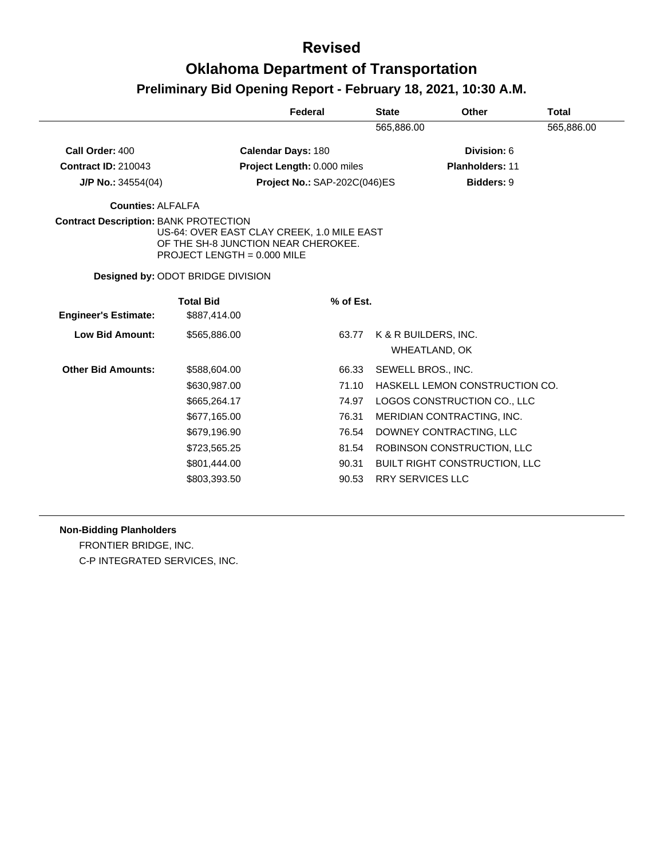|                                              |                                          | Federal                                                                           | <b>State</b> | <b>Other</b>                         | <b>Total</b> |
|----------------------------------------------|------------------------------------------|-----------------------------------------------------------------------------------|--------------|--------------------------------------|--------------|
|                                              |                                          |                                                                                   | 565,886.00   |                                      | 565,886.00   |
| Call Order: 400                              |                                          | <b>Calendar Days: 180</b>                                                         |              | Division: 6                          |              |
| <b>Contract ID: 210043</b>                   |                                          | Project Length: 0.000 miles                                                       |              | <b>Planholders: 11</b>               |              |
| J/P No.: $34554(04)$                         |                                          | Project No.: SAP-202C(046)ES                                                      |              | <b>Bidders: 9</b>                    |              |
| <b>Counties: ALFALFA</b>                     |                                          |                                                                                   |              |                                      |              |
| <b>Contract Description: BANK PROTECTION</b> | PROJECT LENGTH = $0.000$ MILE            | US-64: OVER EAST CLAY CREEK, 1.0 MILE EAST<br>OF THE SH-8 JUNCTION NEAR CHEROKEE. |              |                                      |              |
|                                              | <b>Designed by: ODOT BRIDGE DIVISION</b> |                                                                                   |              |                                      |              |
| <b>Engineer's Estimate:</b>                  | <b>Total Bid</b><br>\$887,414.00         | $%$ of Est.                                                                       |              |                                      |              |
| <b>Low Bid Amount:</b>                       | \$565,886.00                             | 63.77                                                                             |              | K & R BUILDERS, INC.                 |              |
|                                              |                                          |                                                                                   |              | WHEATLAND, OK                        |              |
| <b>Other Bid Amounts:</b>                    | \$588,604.00                             | 66.33                                                                             |              | SEWELL BROS., INC.                   |              |
|                                              | \$630,987.00                             | 71.10                                                                             |              | HASKELL LEMON CONSTRUCTION CO.       |              |
|                                              | \$665,264.17                             | 74.97                                                                             |              | LOGOS CONSTRUCTION CO., LLC          |              |
|                                              | \$677,165.00                             | 76.31                                                                             |              | MERIDIAN CONTRACTING, INC.           |              |
|                                              | \$679,196.90                             | 76.54                                                                             |              | DOWNEY CONTRACTING, LLC              |              |
|                                              | \$723,565.25                             | 81.54                                                                             |              | ROBINSON CONSTRUCTION, LLC           |              |
|                                              | \$801,444.00                             | 90.31                                                                             |              | <b>BUILT RIGHT CONSTRUCTION, LLC</b> |              |

### **Non-Bidding Planholders**

FRONTIER BRIDGE, INC. C-P INTEGRATED SERVICES, INC.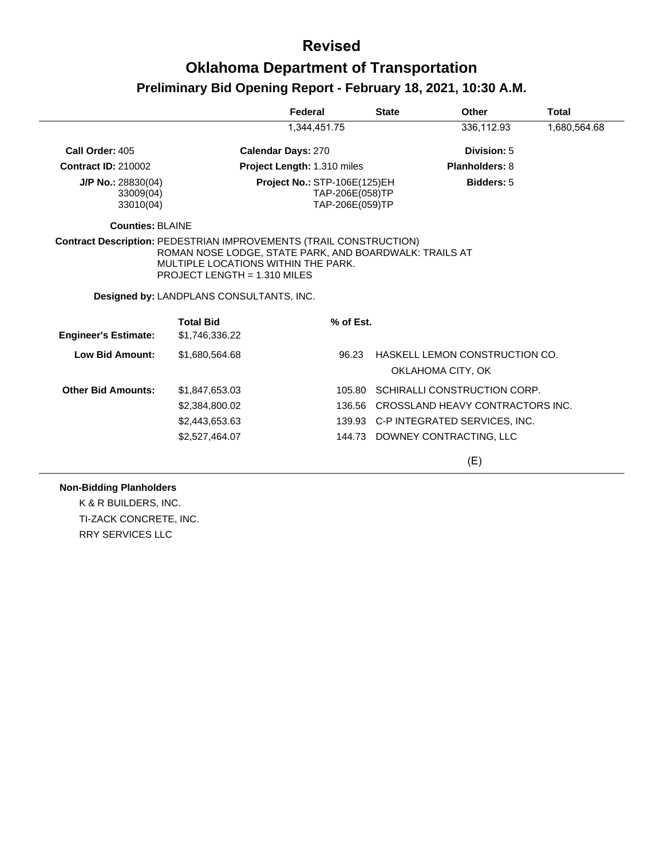|                                                |                                                                                                                                                                           | Federal                      | <b>State</b>                       | Other                                               | Total        |
|------------------------------------------------|---------------------------------------------------------------------------------------------------------------------------------------------------------------------------|------------------------------|------------------------------------|-----------------------------------------------------|--------------|
|                                                |                                                                                                                                                                           | 1,344,451.75                 |                                    | 336,112.93                                          | 1,680,564.68 |
| Call Order: 405                                |                                                                                                                                                                           | <b>Calendar Days: 270</b>    |                                    | Division: 5                                         |              |
| <b>Contract ID: 210002</b>                     |                                                                                                                                                                           | Project Length: 1.310 miles  |                                    | <b>Planholders: 8</b>                               |              |
| $J/P$ No.: 28830(04)<br>33009(04)<br>33010(04) |                                                                                                                                                                           | Project No.: STP-106E(125)EH | TAP-206E(058)TP<br>TAP-206E(059)TP | <b>Bidders: 5</b>                                   |              |
| <b>Counties: BLAINE</b>                        |                                                                                                                                                                           |                              |                                    |                                                     |              |
|                                                | ROMAN NOSE LODGE, STATE PARK, AND BOARDWALK: TRAILS AT<br>MULTIPLE LOCATIONS WITHIN THE PARK.<br>PROJECT LENGTH = 1.310 MILES<br>Designed by: LANDPLANS CONSULTANTS, INC. |                              |                                    |                                                     |              |
| <b>Engineer's Estimate:</b>                    | <b>Total Bid</b><br>\$1,746,336.22                                                                                                                                        | % of Est.                    |                                    |                                                     |              |
| <b>Low Bid Amount:</b>                         | \$1,680,564.68                                                                                                                                                            |                              | 96.23                              | HASKELL LEMON CONSTRUCTION CO.<br>OKLAHOMA CITY, OK |              |
| <b>Other Bid Amounts:</b>                      | \$1,847,653.03                                                                                                                                                            |                              | 105.80                             | SCHIRALLI CONSTRUCTION CORP.                        |              |
|                                                | \$2,384,800.02                                                                                                                                                            |                              | 136.56                             | CROSSLAND HEAVY CONTRACTORS INC.                    |              |
|                                                | \$2,443,653.63                                                                                                                                                            |                              |                                    | 139.93 C-P INTEGRATED SERVICES, INC.                |              |
|                                                | \$2,527,464.07                                                                                                                                                            |                              |                                    | 144.73 DOWNEY CONTRACTING, LLC                      |              |
|                                                |                                                                                                                                                                           |                              |                                    | (E)                                                 |              |

### **Non-Bidding Planholders**

K & R BUILDERS, INC. TI-ZACK CONCRETE, INC. RRY SERVICES LLC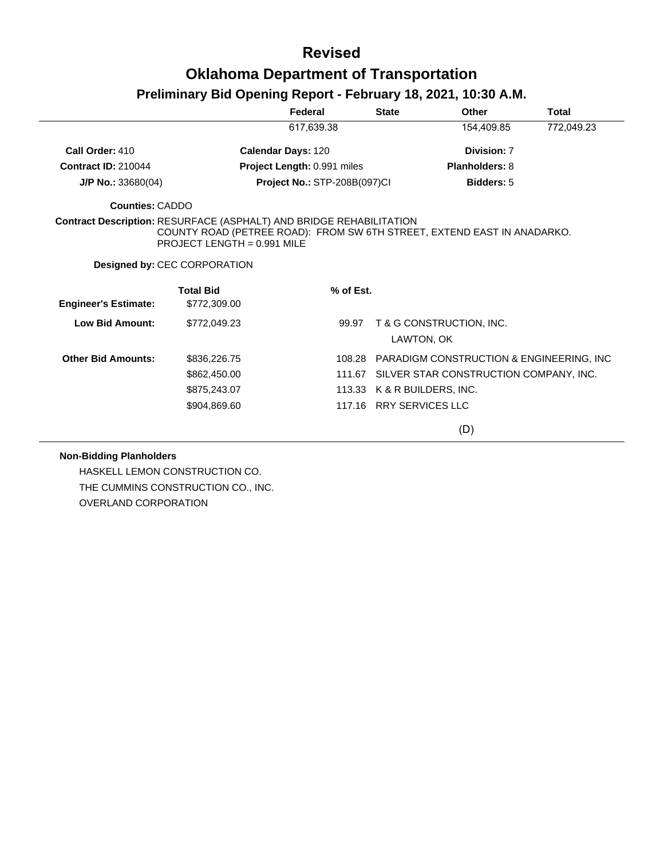# **Oklahoma Department of Transportation**

## **Preliminary Bid Opening Report - February 18, 2021, 10:30 A.M.**

|                                                                            |                                     | Federal                             | <b>State</b> | Other                                                                   | <b>Total</b> |
|----------------------------------------------------------------------------|-------------------------------------|-------------------------------------|--------------|-------------------------------------------------------------------------|--------------|
|                                                                            |                                     | 617,639.38                          |              | 154,409.85                                                              | 772,049.23   |
| Call Order: 410                                                            |                                     | <b>Calendar Days: 120</b>           |              | Division: 7                                                             |              |
| <b>Contract ID: 210044</b>                                                 |                                     | Project Length: 0.991 miles         |              | <b>Planholders: 8</b>                                                   |              |
| $J/P$ No.: 33680(04)                                                       |                                     | <b>Project No.: STP-208B(097)CI</b> |              | <b>Bidders: 5</b>                                                       |              |
| <b>Counties: CADDO</b>                                                     |                                     |                                     |              |                                                                         |              |
| <b>Contract Description: RESURFACE (ASPHALT) AND BRIDGE REHABILITATION</b> | $PROJECT LENGTH = 0.991 MILF$       |                                     |              | COUNTY ROAD (PETREE ROAD): FROM SW 6TH STREET, EXTEND EAST IN ANADARKO. |              |
|                                                                            | <b>Designed by: CEC CORPORATION</b> |                                     |              |                                                                         |              |
|                                                                            | <b>Total Bid</b>                    | % of Est.                           |              |                                                                         |              |
| <b>Engineer's Estimate:</b>                                                | \$772,309.00                        |                                     |              |                                                                         |              |
| <b>Low Bid Amount:</b>                                                     | \$772,049.23                        | 99.97                               |              | T & G CONSTRUCTION, INC.<br>LAWTON, OK                                  |              |
| <b>Other Bid Amounts:</b>                                                  | \$836,226.75                        |                                     |              | 108.28 PARADIGM CONSTRUCTION & ENGINEERING, INC                         |              |
|                                                                            | \$862,450.00                        |                                     | 111.67       | SILVER STAR CONSTRUCTION COMPANY, INC.                                  |              |
|                                                                            | \$875,243.07                        |                                     |              | 113.33 K & R BUILDERS, INC.                                             |              |
|                                                                            | \$904,869.60                        |                                     |              | 117.16 RRY SERVICES LLC                                                 |              |
|                                                                            |                                     |                                     |              | (D)                                                                     |              |

### **Non-Bidding Planholders**

HASKELL LEMON CONSTRUCTION CO. THE CUMMINS CONSTRUCTION CO., INC. OVERLAND CORPORATION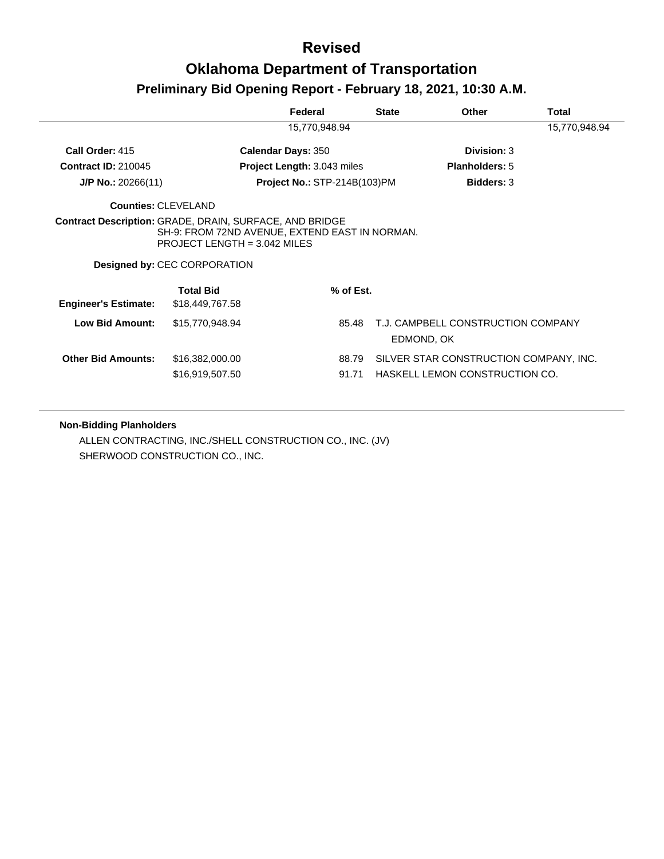## **Oklahoma Department of Transportation**

## **Preliminary Bid Opening Report - February 18, 2021, 10:30 A.M.**

|                             |                                                                                                                                                                                           | Federal                             | <b>State</b> | Other                                            | Total         |
|-----------------------------|-------------------------------------------------------------------------------------------------------------------------------------------------------------------------------------------|-------------------------------------|--------------|--------------------------------------------------|---------------|
|                             |                                                                                                                                                                                           | 15,770,948.94                       |              |                                                  | 15,770,948.94 |
| Call Order: 415             |                                                                                                                                                                                           | <b>Calendar Days: 350</b>           |              | Division: 3                                      |               |
| <b>Contract ID: 210045</b>  |                                                                                                                                                                                           | <b>Project Length: 3.043 miles</b>  |              | <b>Planholders: 5</b>                            |               |
| $J/P$ No.: 20266(11)        |                                                                                                                                                                                           | <b>Project No.: STP-214B(103)PM</b> |              | <b>Bidders: 3</b>                                |               |
| <b>Counties: CLEVELAND</b>  |                                                                                                                                                                                           |                                     |              |                                                  |               |
|                             | <b>Contract Description: GRADE, DRAIN, SURFACE, AND BRIDGE</b><br>SH-9: FROM 72ND AVENUE, EXTEND EAST IN NORMAN.<br>PROJECT LENGTH = $3.042$ MILES<br><b>Designed by: CEC CORPORATION</b> |                                     |              |                                                  |               |
| <b>Engineer's Estimate:</b> | <b>Total Bid</b><br>\$18,449,767.58                                                                                                                                                       |                                     | % of Est.    |                                                  |               |
| Low Bid Amount:             | \$15,770,948.94                                                                                                                                                                           |                                     | 85.48        | T.J. CAMPBELL CONSTRUCTION COMPANY<br>EDMOND, OK |               |
| <b>Other Bid Amounts:</b>   | \$16,382,000.00                                                                                                                                                                           |                                     | 88.79        | SILVER STAR CONSTRUCTION COMPANY, INC.           |               |
|                             | \$16,919,507.50                                                                                                                                                                           | 91.71                               |              | HASKELL LEMON CONSTRUCTION CO.                   |               |

### **Non-Bidding Planholders**

ALLEN CONTRACTING, INC./SHELL CONSTRUCTION CO., INC. (JV) SHERWOOD CONSTRUCTION CO., INC.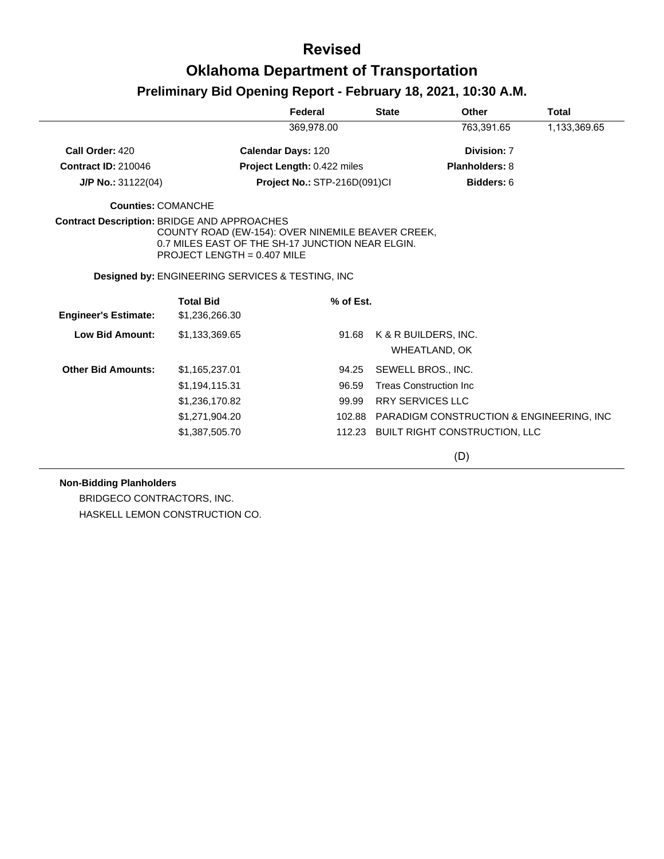|                                                    |                                                                                                                                        | Federal                      | <b>State</b>            | Other                                        | <b>Total</b> |
|----------------------------------------------------|----------------------------------------------------------------------------------------------------------------------------------------|------------------------------|-------------------------|----------------------------------------------|--------------|
|                                                    |                                                                                                                                        | 369,978.00                   |                         | 763,391.65                                   | 1,133,369.65 |
| Call Order: 420                                    |                                                                                                                                        | <b>Calendar Days: 120</b>    |                         | Division: 7                                  |              |
| <b>Contract ID: 210046</b>                         |                                                                                                                                        | Project Length: 0.422 miles  |                         | <b>Planholders: 8</b>                        |              |
| J/P No.: 31122(04)                                 |                                                                                                                                        | Project No.: STP-216D(091)Cl |                         | Bidders: 6                                   |              |
| <b>Counties: COMANCHE</b>                          |                                                                                                                                        |                              |                         |                                              |              |
| <b>Contract Description: BRIDGE AND APPROACHES</b> | COUNTY ROAD (EW-154): OVER NINEMILE BEAVER CREEK,<br>0.7 MILES EAST OF THE SH-17 JUNCTION NEAR ELGIN.<br>PROJECT LENGTH = $0.407$ MILE |                              |                         |                                              |              |
|                                                    | <b>Designed by: ENGINEERING SERVICES &amp; TESTING, INC.</b>                                                                           |                              |                         |                                              |              |
| <b>Engineer's Estimate:</b>                        | <b>Total Bid</b><br>\$1,236,266.30                                                                                                     | % of Est.                    |                         |                                              |              |
|                                                    |                                                                                                                                        |                              |                         |                                              |              |
| <b>Low Bid Amount:</b>                             | \$1,133,369.65                                                                                                                         | 91.68                        |                         | K & R BUILDERS, INC.<br><b>WHEATLAND, OK</b> |              |
| <b>Other Bid Amounts:</b>                          | \$1,165,237.01                                                                                                                         | 94.25                        |                         | SEWELL BROS., INC.                           |              |
|                                                    | \$1,194,115.31                                                                                                                         | 96.59                        |                         | <b>Treas Construction Inc.</b>               |              |
|                                                    | \$1,236,170.82                                                                                                                         | 99.99                        | <b>RRY SERVICES LLC</b> |                                              |              |
|                                                    | \$1,271,904.20                                                                                                                         | 102.88                       |                         | PARADIGM CONSTRUCTION & ENGINEERING, INC.    |              |
|                                                    | \$1,387,505.70                                                                                                                         | 112.23                       |                         | <b>BUILT RIGHT CONSTRUCTION, LLC</b>         |              |
|                                                    |                                                                                                                                        |                              |                         | (D)                                          |              |

### **Non-Bidding Planholders**

BRIDGECO CONTRACTORS, INC. HASKELL LEMON CONSTRUCTION CO.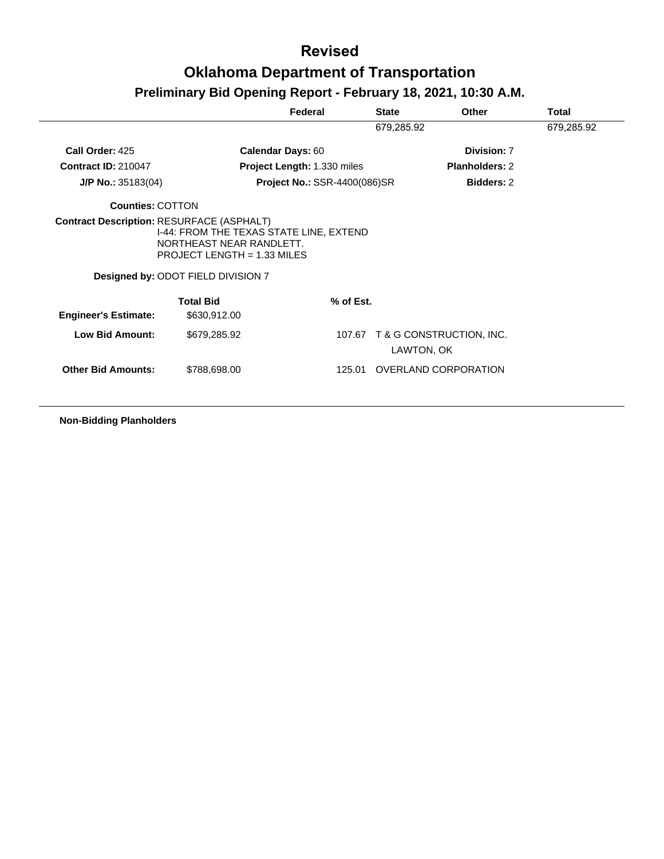# **Oklahoma Department of Transportation**

# **Preliminary Bid Opening Report - February 18, 2021, 10:30 A.M.**

|                             |                                                                                                                                          | Federal                             | <b>State</b> | Other                           | <b>Total</b> |
|-----------------------------|------------------------------------------------------------------------------------------------------------------------------------------|-------------------------------------|--------------|---------------------------------|--------------|
|                             |                                                                                                                                          |                                     | 679,285.92   |                                 | 679,285.92   |
| Call Order: 425             |                                                                                                                                          | <b>Calendar Days: 60</b>            |              | Division: 7                     |              |
| <b>Contract ID: 210047</b>  |                                                                                                                                          | Project Length: 1.330 miles         |              | <b>Planholders: 2</b>           |              |
| $J/P$ No.: 35183(04)        |                                                                                                                                          | <b>Project No.: SSR-4400(086)SR</b> |              | <b>Bidders: 2</b>               |              |
| <b>Counties: COTTON</b>     |                                                                                                                                          |                                     |              |                                 |              |
|                             | I-44: FROM THE TEXAS STATE LINE, EXTEND<br>NORTHEAST NEAR RANDLETT.<br>PROJECT LENGTH = 1.33 MILES<br>Designed by: ODOT FIELD DIVISION 7 |                                     |              |                                 |              |
| <b>Engineer's Estimate:</b> | <b>Total Bid</b><br>\$630,912.00                                                                                                         | $%$ of Est.                         |              |                                 |              |
|                             |                                                                                                                                          |                                     |              |                                 |              |
| <b>Low Bid Amount:</b>      | \$679,285.92                                                                                                                             |                                     | LAWTON, OK   | 107.67 T & G CONSTRUCTION, INC. |              |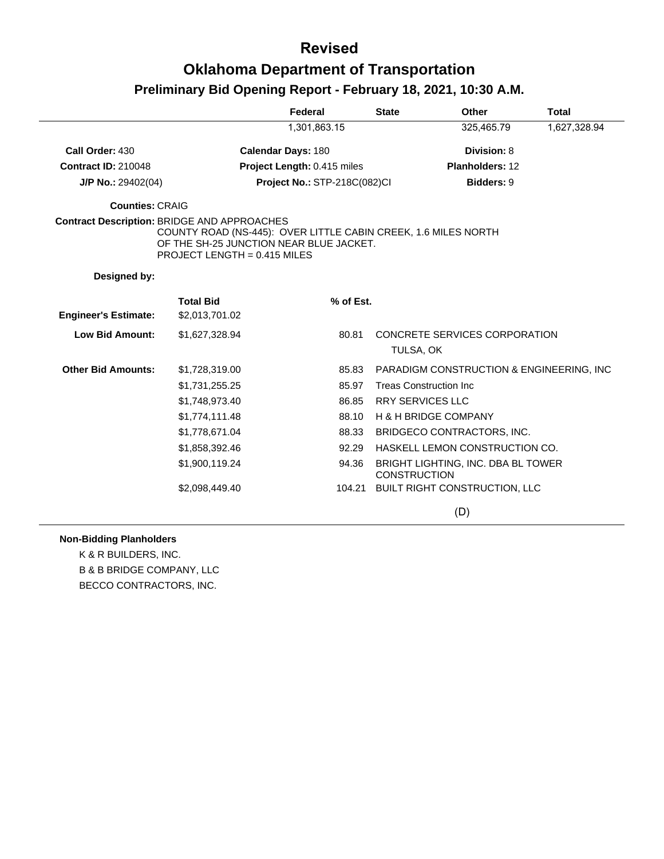# **Oklahoma Department of Transportation Preliminary Bid Opening Report - February 18, 2021, 10:30 A.M.**

|                                                    |                                                                                                                                             | Federal                      | <b>State</b>        | Other                                     | <b>Total</b> |
|----------------------------------------------------|---------------------------------------------------------------------------------------------------------------------------------------------|------------------------------|---------------------|-------------------------------------------|--------------|
|                                                    |                                                                                                                                             | 1,301,863.15                 |                     | 325,465.79                                | 1,627,328.94 |
| Call Order: 430                                    |                                                                                                                                             | <b>Calendar Days: 180</b>    |                     | Division: 8                               |              |
| <b>Contract ID: 210048</b>                         |                                                                                                                                             | Project Length: 0.415 miles  |                     | Planholders: 12                           |              |
| $J/P$ No.: 29402(04)                               |                                                                                                                                             | Project No.: STP-218C(082)Cl |                     | <b>Bidders: 9</b>                         |              |
| <b>Counties: CRAIG</b>                             |                                                                                                                                             |                              |                     |                                           |              |
| <b>Contract Description: BRIDGE AND APPROACHES</b> | COUNTY ROAD (NS-445): OVER LITTLE CABIN CREEK, 1.6 MILES NORTH<br>OF THE SH-25 JUNCTION NEAR BLUE JACKET.<br>PROJECT LENGTH = $0.415$ MILES |                              |                     |                                           |              |
| Designed by:                                       |                                                                                                                                             |                              |                     |                                           |              |
| <b>Engineer's Estimate:</b>                        | <b>Total Bid</b><br>\$2,013,701.02                                                                                                          | % of Est.                    |                     |                                           |              |
| <b>Low Bid Amount:</b>                             | \$1,627,328.94                                                                                                                              | 80.81                        | TULSA, OK           | CONCRETE SERVICES CORPORATION             |              |
| <b>Other Bid Amounts:</b>                          | \$1,728,319.00                                                                                                                              | 85.83                        |                     | PARADIGM CONSTRUCTION & ENGINEERING, INC. |              |
|                                                    | \$1,731,255.25                                                                                                                              | 85.97                        |                     | <b>Treas Construction Inc.</b>            |              |
|                                                    | \$1,748,973.40                                                                                                                              | 86.85                        |                     | <b>RRY SERVICES LLC</b>                   |              |
|                                                    | \$1,774,111.48                                                                                                                              | 88.10                        |                     | H & H BRIDGE COMPANY                      |              |
|                                                    | \$1,778,671.04                                                                                                                              | 88.33                        |                     | BRIDGECO CONTRACTORS, INC.                |              |
|                                                    | \$1,858,392.46                                                                                                                              | 92.29                        |                     | HASKELL LEMON CONSTRUCTION CO.            |              |
|                                                    | \$1,900,119.24                                                                                                                              | 94.36                        | <b>CONSTRUCTION</b> | BRIGHT LIGHTING, INC. DBA BL TOWER        |              |
|                                                    | \$2,098,449.40                                                                                                                              |                              |                     | 104.21 BUILT RIGHT CONSTRUCTION, LLC      |              |
|                                                    |                                                                                                                                             |                              |                     | (D)                                       |              |

### **Non-Bidding Planholders**

K & R BUILDERS, INC. B & B BRIDGE COMPANY, LLC BECCO CONTRACTORS, INC.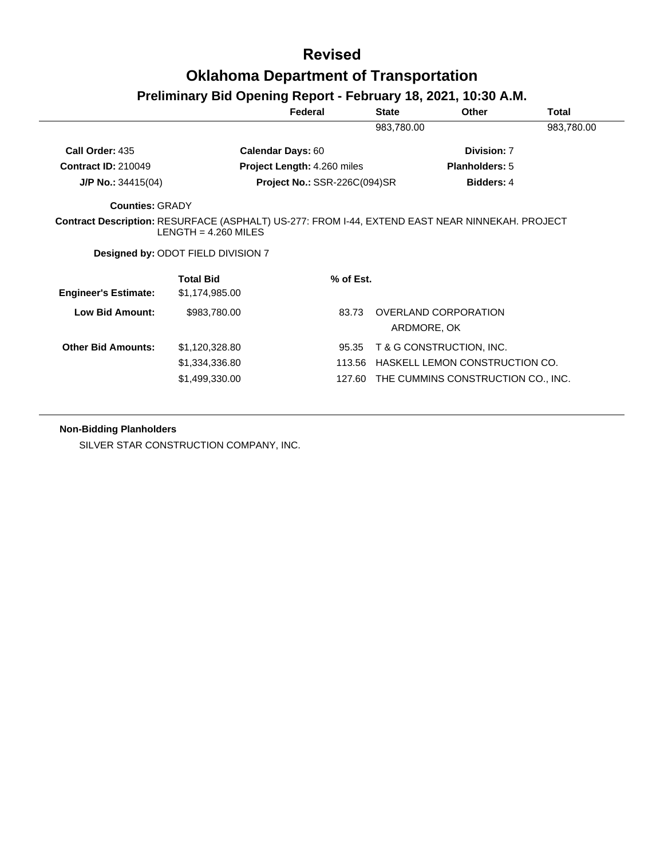# **Oklahoma Department of Transportation**

## **Preliminary Bid Opening Report - February 18, 2021, 10:30 A.M.**

|                             |                                                                                                                           | Federal                             | <b>State</b> | <b>Other</b>                        | Total      |
|-----------------------------|---------------------------------------------------------------------------------------------------------------------------|-------------------------------------|--------------|-------------------------------------|------------|
|                             |                                                                                                                           |                                     | 983,780.00   |                                     | 983,780.00 |
| Call Order: 435             |                                                                                                                           | <b>Calendar Days: 60</b>            |              | Division: 7                         |            |
| <b>Contract ID: 210049</b>  |                                                                                                                           | Project Length: 4.260 miles         |              | <b>Planholders: 5</b>               |            |
| $J/P$ No.: 34415(04)        |                                                                                                                           | <b>Project No.: SSR-226C(094)SR</b> |              | <b>Bidders: 4</b>                   |            |
| <b>Counties: GRADY</b>      |                                                                                                                           |                                     |              |                                     |            |
|                             |                                                                                                                           |                                     |              |                                     |            |
|                             | Contract Description: RESURFACE (ASPHALT) US-277: FROM I-44, EXTEND EAST NEAR NINNEKAH. PROJECT<br>LENGTH = $4.260$ MILES |                                     |              |                                     |            |
|                             | Designed by: ODOT FIELD DIVISION 7                                                                                        |                                     |              |                                     |            |
| <b>Engineer's Estimate:</b> | <b>Total Bid</b><br>\$1,174,985.00                                                                                        | % of Est.                           |              |                                     |            |
| <b>Low Bid Amount:</b>      | \$983,780.00                                                                                                              | 83.73                               |              | OVERLAND CORPORATION<br>ARDMORE, OK |            |
| <b>Other Bid Amounts:</b>   | \$1,120,328.80                                                                                                            | 95.35                               |              | T & G CONSTRUCTION, INC.            |            |
|                             | \$1,334,336.80                                                                                                            | 113.56                              |              | HASKELL LEMON CONSTRUCTION CO.      |            |

### **Non-Bidding Planholders**

SILVER STAR CONSTRUCTION COMPANY, INC.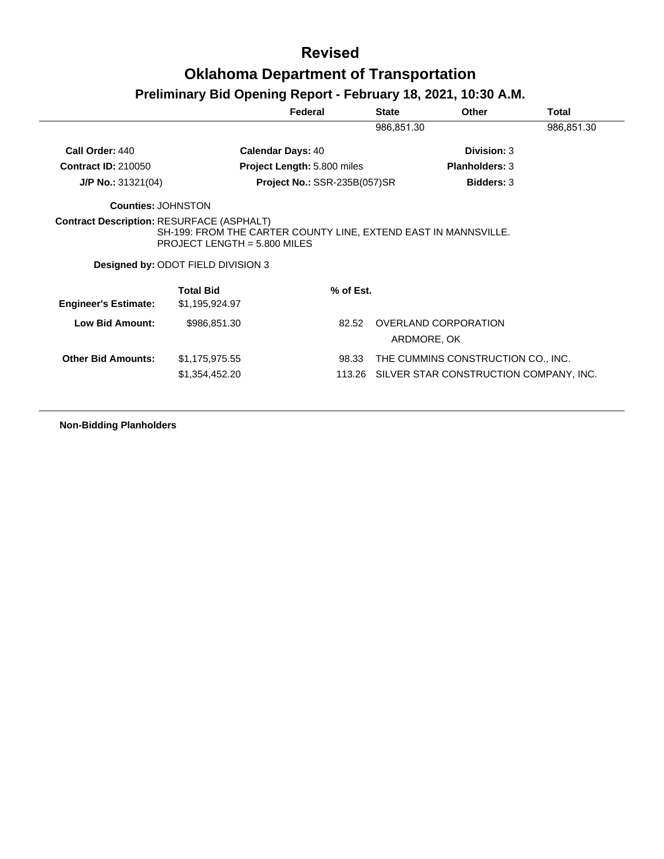## **Oklahoma Department of Transportation**

# **Preliminary Bid Opening Report - February 18, 2021, 10:30 A.M.**

|                             |                                                                             | Federal                             | <b>State</b> | <b>Other</b>                        | Total      |
|-----------------------------|-----------------------------------------------------------------------------|-------------------------------------|--------------|-------------------------------------|------------|
|                             |                                                                             |                                     | 986,851.30   |                                     | 986,851.30 |
| Call Order: 440             |                                                                             | <b>Calendar Days: 40</b>            |              | Division: 3                         |            |
| <b>Contract ID: 210050</b>  |                                                                             | Project Length: 5.800 miles         |              | <b>Planholders: 3</b>               |            |
| $J/P$ No.: 31321(04)        |                                                                             | <b>Project No.: SSR-235B(057)SR</b> |              | <b>Bidders: 3</b>                   |            |
| <b>Counties: JOHNSTON</b>   |                                                                             |                                     |              |                                     |            |
|                             | SH-199: FROM THE CARTER COUNTY LINE, EXTEND EAST IN MANNSVILLE.             |                                     |              |                                     |            |
|                             | PROJECT LENGTH = $5.800$ MILES<br><b>Designed by: ODOT FIELD DIVISION 3</b> |                                     |              |                                     |            |
| <b>Engineer's Estimate:</b> | <b>Total Bid</b><br>\$1,195,924.97                                          | % of Est.                           |              |                                     |            |
| Low Bid Amount:             | \$986,851.30                                                                | 82.52                               |              | OVERLAND CORPORATION<br>ARDMORE, OK |            |
| <b>Other Bid Amounts:</b>   | \$1,175,975.55                                                              | 98.33                               |              | THE CUMMINS CONSTRUCTION CO., INC.  |            |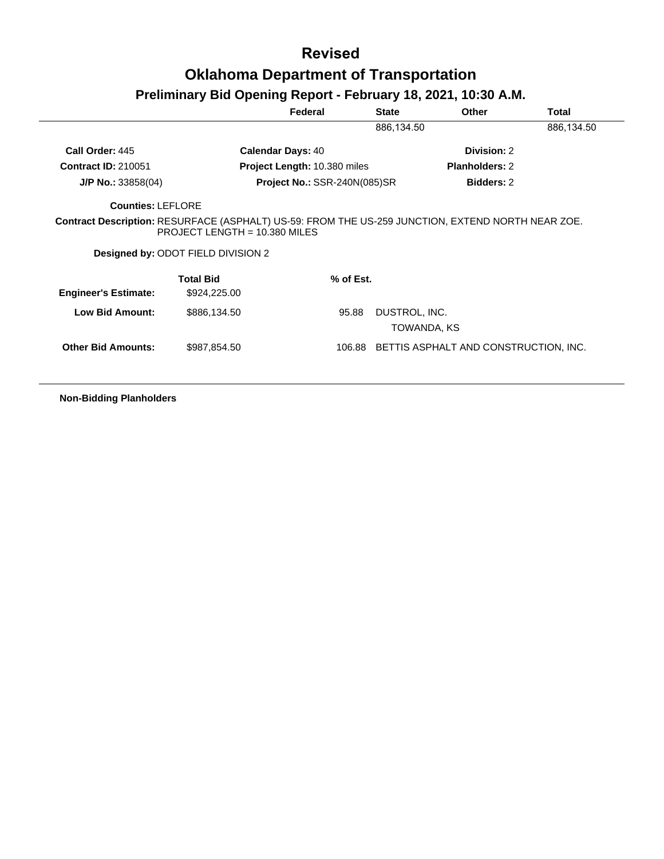## **Preliminary Bid Opening Report - February 18, 2021, 10:30 A.M.**

|                                                                                                   |                                                                       | Federal                             | <b>State</b>                 | Other                 | Total      |
|---------------------------------------------------------------------------------------------------|-----------------------------------------------------------------------|-------------------------------------|------------------------------|-----------------------|------------|
|                                                                                                   |                                                                       |                                     | 886,134.50                   |                       | 886,134.50 |
| Call Order: 445                                                                                   |                                                                       | <b>Calendar Days: 40</b>            |                              | Division: 2           |            |
| <b>Contract ID: 210051</b>                                                                        |                                                                       | Project Length: 10.380 miles        |                              | <b>Planholders: 2</b> |            |
| $J/P$ No.: 33858(04)                                                                              |                                                                       | <b>Project No.: SSR-240N(085)SR</b> |                              | <b>Bidders: 2</b>     |            |
| <b>Counties: LEFLORE</b>                                                                          |                                                                       |                                     |                              |                       |            |
|                                                                                                   |                                                                       |                                     |                              |                       |            |
| Contract Description: RESURFACE (ASPHALT) US-59: FROM THE US-259 JUNCTION, EXTEND NORTH NEAR ZOE. | PROJECT LENGTH = $10.380$ MILES<br>Designed by: ODOT FIELD DIVISION 2 |                                     |                              |                       |            |
| <b>Engineer's Estimate:</b>                                                                       | <b>Total Bid</b><br>\$924,225.00                                      | $%$ of Est.                         |                              |                       |            |
| <b>Low Bid Amount:</b>                                                                            | \$886,134.50                                                          | 95.88                               | DUSTROL, INC.<br>TOWANDA, KS |                       |            |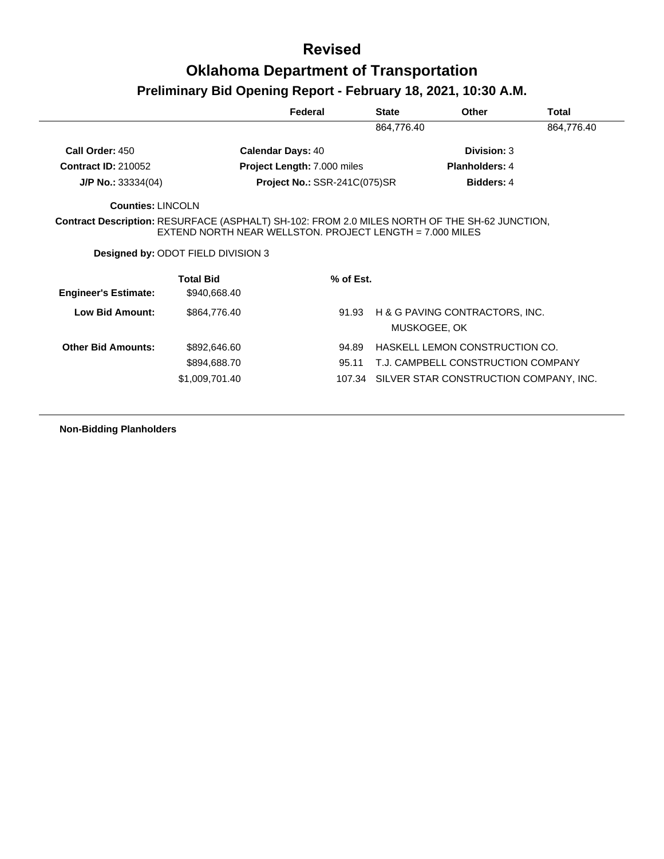|                             |                                                                                                                                                                    | Federal                             | <b>State</b> | Other                                          | Total      |
|-----------------------------|--------------------------------------------------------------------------------------------------------------------------------------------------------------------|-------------------------------------|--------------|------------------------------------------------|------------|
|                             |                                                                                                                                                                    |                                     | 864,776.40   |                                                | 864,776.40 |
| Call Order: 450             | <b>Calendar Days: 40</b>                                                                                                                                           |                                     |              | Division: 3                                    |            |
| <b>Contract ID: 210052</b>  |                                                                                                                                                                    | <b>Project Length: 7.000 miles</b>  |              | <b>Planholders: 4</b>                          |            |
| $J/P$ No.: 33334(04)        |                                                                                                                                                                    | <b>Project No.: SSR-241C(075)SR</b> |              | Bidders: 4                                     |            |
| Counties: LINCOLN           |                                                                                                                                                                    |                                     |              |                                                |            |
|                             | <b>Contract Description: RESURFACE (ASPHALT) SH-102: FROM 2.0 MILES NORTH OF THE SH-62 JUNCTION,</b><br>EXTEND NORTH NEAR WELLSTON. PROJECT LENGTH = $7.000$ MILES |                                     |              |                                                |            |
|                             | Designed by: ODOT FIELD DIVISION 3                                                                                                                                 |                                     |              |                                                |            |
| <b>Engineer's Estimate:</b> | <b>Total Bid</b><br>\$940,668.40                                                                                                                                   | $%$ of Est.                         |              |                                                |            |
| Low Bid Amount:             | \$864,776.40                                                                                                                                                       | 91.93                               |              | H & G PAVING CONTRACTORS, INC.<br>MUSKOGEE, OK |            |
| <b>Other Bid Amounts:</b>   | \$892,646.60                                                                                                                                                       | 94.89                               |              | HASKELL LEMON CONSTRUCTION CO.                 |            |
|                             | \$894,688.70                                                                                                                                                       | 95.11                               |              | T.J. CAMPBELL CONSTRUCTION COMPANY             |            |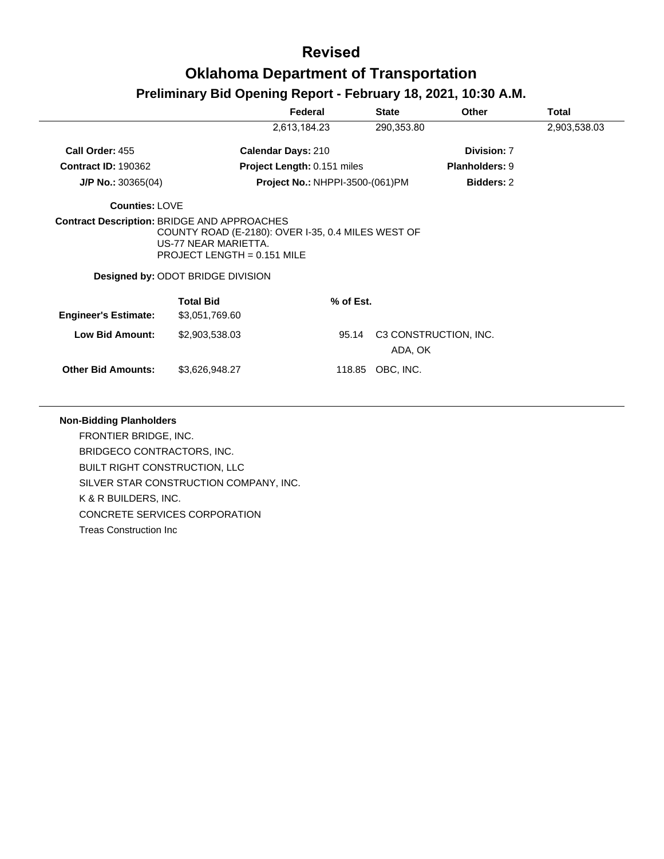## **Oklahoma Department of Transportation**

## **Preliminary Bid Opening Report - February 18, 2021, 10:30 A.M.**

|                             |                                                                                                                                                         | Federal                                | <b>State</b> | <b>Other</b>          | Total        |
|-----------------------------|---------------------------------------------------------------------------------------------------------------------------------------------------------|----------------------------------------|--------------|-----------------------|--------------|
|                             |                                                                                                                                                         | 2,613,184.23                           | 290,353.80   |                       | 2,903,538.03 |
| Call Order: 455             |                                                                                                                                                         | <b>Calendar Days: 210</b>              |              | Division: 7           |              |
| <b>Contract ID: 190362</b>  |                                                                                                                                                         | Project Length: 0.151 miles            |              | <b>Planholders: 9</b> |              |
| $J/P$ No.: 30365(04)        |                                                                                                                                                         | <b>Project No.: NHPPI-3500-(061)PM</b> |              | <b>Bidders: 2</b>     |              |
| <b>Counties: LOVE</b>       |                                                                                                                                                         |                                        |              |                       |              |
|                             | COUNTY ROAD (E-2180): OVER I-35, 0.4 MILES WEST OF<br>US-77 NEAR MARIETTA.<br>PROJECT LENGTH = $0.151$ MILE<br><b>Designed by: ODOT BRIDGE DIVISION</b> |                                        |              |                       |              |
| <b>Engineer's Estimate:</b> | <b>Total Bid</b><br>\$3,051,769.60                                                                                                                      | % of Est.                              |              |                       |              |
| <b>Low Bid Amount:</b>      | \$2,903,538.03                                                                                                                                          | 95.14                                  | ADA, OK      | C3 CONSTRUCTION, INC. |              |
| <b>Other Bid Amounts:</b>   | \$3,626,948.27                                                                                                                                          | 118.85                                 | OBC, INC.    |                       |              |

### **Non-Bidding Planholders**

FRONTIER BRIDGE, INC. BRIDGECO CONTRACTORS, INC. BUILT RIGHT CONSTRUCTION, LLC SILVER STAR CONSTRUCTION COMPANY, INC. K & R BUILDERS, INC. CONCRETE SERVICES CORPORATION Treas Construction Inc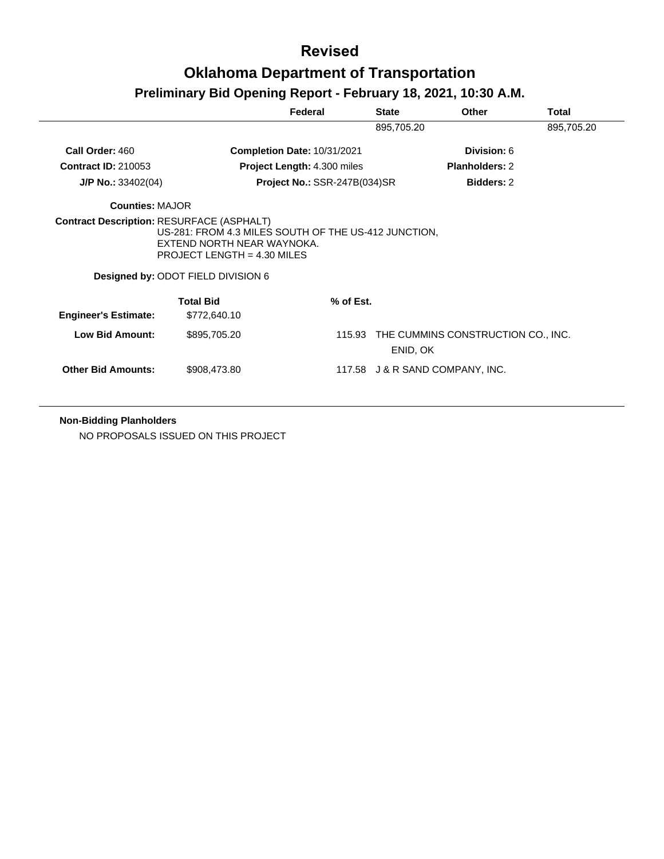# **Preliminary Bid Opening Report - February 18, 2021, 10:30 A.M.**

|                             |                                                                                                                                                           | Federal                      | <b>State</b> | <b>Other</b>                              | Total      |
|-----------------------------|-----------------------------------------------------------------------------------------------------------------------------------------------------------|------------------------------|--------------|-------------------------------------------|------------|
|                             |                                                                                                                                                           |                              | 895,705.20   |                                           | 895,705.20 |
| Call Order: 460             |                                                                                                                                                           | Completion Date: 10/31/2021  |              | Division: 6                               |            |
| <b>Contract ID: 210053</b>  |                                                                                                                                                           | Project Length: 4.300 miles  |              | <b>Planholders: 2</b>                     |            |
| $J/P$ No.: 33402(04)        |                                                                                                                                                           | Project No.: SSR-247B(034)SR |              | <b>Bidders: 2</b>                         |            |
| <b>Counties: MAJOR</b>      |                                                                                                                                                           |                              |              |                                           |            |
|                             | US-281: FROM 4.3 MILES SOUTH OF THE US-412 JUNCTION.<br>EXTEND NORTH NEAR WAYNOKA.<br>PROJECT LENGTH = $4.30$ MILES<br>Designed by: ODOT FIELD DIVISION 6 |                              |              |                                           |            |
|                             | <b>Total Bid</b>                                                                                                                                          | % of Est.                    |              |                                           |            |
| <b>Engineer's Estimate:</b> | \$772,640.10                                                                                                                                              |                              |              |                                           |            |
| Low Bid Amount:             | \$895,705.20                                                                                                                                              |                              | ENID, OK     | 115.93 THE CUMMINS CONSTRUCTION CO., INC. |            |
| <b>Other Bid Amounts:</b>   | \$908,473.80                                                                                                                                              |                              |              | 117.58 J & R SAND COMPANY, INC.           |            |

**Non-Bidding Planholders**

NO PROPOSALS ISSUED ON THIS PROJECT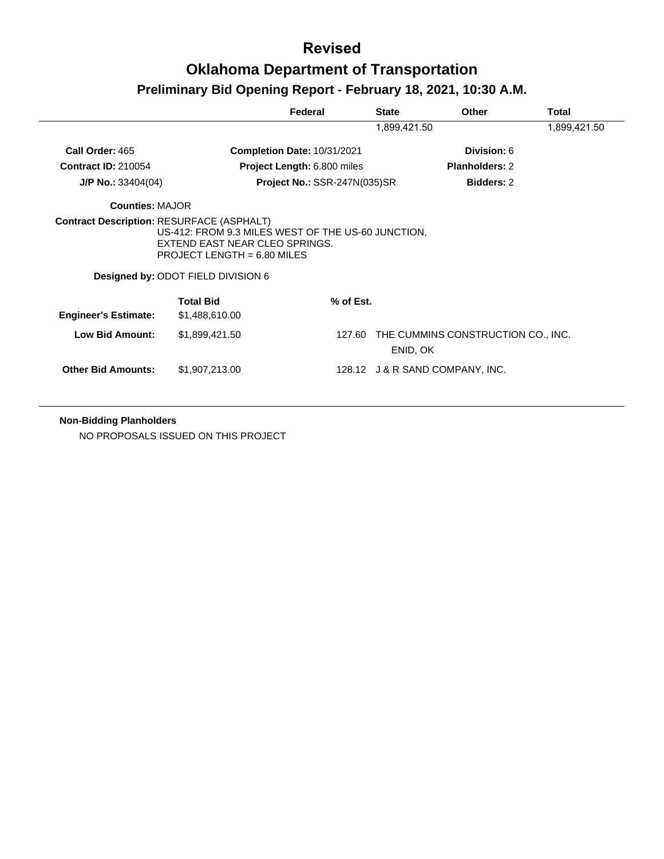|                                                  |                                                                                                                                                             | Federal                      | <b>State</b> | Other                              | Total        |
|--------------------------------------------------|-------------------------------------------------------------------------------------------------------------------------------------------------------------|------------------------------|--------------|------------------------------------|--------------|
|                                                  |                                                                                                                                                             |                              | 1,899,421.50 |                                    | 1,899,421.50 |
| Call Order: 465                                  |                                                                                                                                                             | Completion Date: 10/31/2021  |              | Division: 6                        |              |
| <b>Contract ID: 210054</b>                       |                                                                                                                                                             | Project Length: 6.800 miles  |              | <b>Planholders: 2</b>              |              |
| $J/P$ No.: 33404(04)                             |                                                                                                                                                             | Project No.: SSR-247N(035)SR |              | <b>Bidders: 2</b>                  |              |
| <b>Counties: MAJOR</b>                           |                                                                                                                                                             |                              |              |                                    |              |
| <b>Contract Description: RESURFACE (ASPHALT)</b> | US-412: FROM 9.3 MILES WEST OF THE US-60 JUNCTION.<br>EXTEND EAST NEAR CLEO SPRINGS.<br>PROJECT LENGTH = $6.80$ MILES<br>Designed by: ODOT FIELD DIVISION 6 |                              |              |                                    |              |
|                                                  | <b>Total Bid</b>                                                                                                                                            | % of Est.                    |              |                                    |              |
| <b>Engineer's Estimate:</b>                      | \$1,488,610.00                                                                                                                                              |                              |              |                                    |              |
| <b>Low Bid Amount:</b>                           | \$1,899,421.50                                                                                                                                              | 127.60                       | ENID, OK     | THE CUMMINS CONSTRUCTION CO., INC. |              |
| <b>Other Bid Amounts:</b>                        | \$1,907,213.00                                                                                                                                              |                              |              | 128.12 J & R SAND COMPANY, INC.    |              |

**Non-Bidding Planholders**

NO PROPOSALS ISSUED ON THIS PROJECT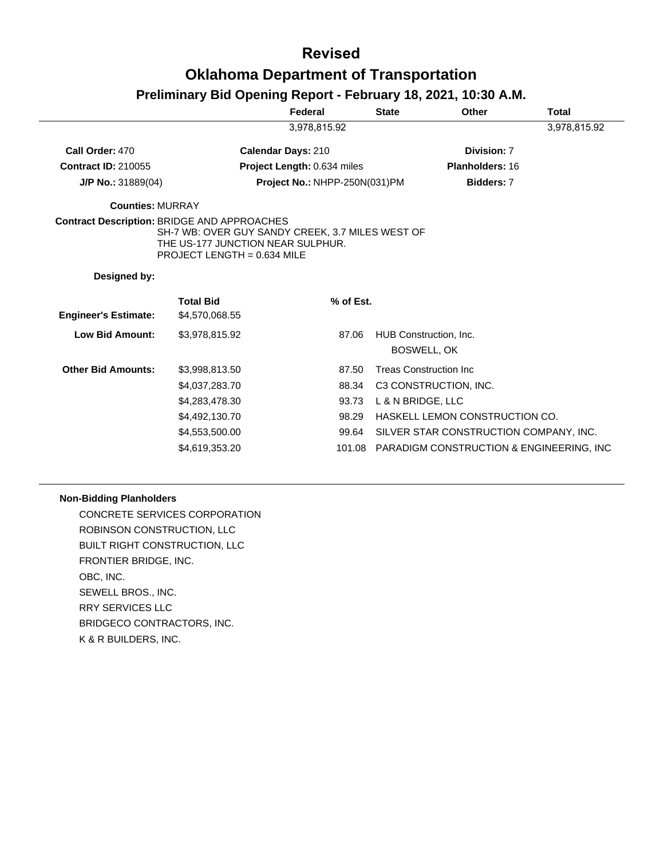## **Oklahoma Department of Transportation**

## **Preliminary Bid Opening Report - February 18, 2021, 10:30 A.M.**

|                                                    |                                                                                                                        | Federal                            |           | <b>State</b>      | Other                                        | <b>Total</b> |
|----------------------------------------------------|------------------------------------------------------------------------------------------------------------------------|------------------------------------|-----------|-------------------|----------------------------------------------|--------------|
|                                                    |                                                                                                                        | 3,978,815.92                       |           |                   |                                              | 3,978,815.92 |
| Call Order: 470                                    |                                                                                                                        | <b>Calendar Days: 210</b>          |           |                   | Division: 7                                  |              |
| <b>Contract ID: 210055</b>                         |                                                                                                                        | <b>Project Length: 0.634 miles</b> |           |                   | <b>Planholders: 16</b>                       |              |
| $J/P$ No.: 31889(04)                               |                                                                                                                        | Project No.: NHPP-250N(031)PM      |           |                   | Bidders: 7                                   |              |
| <b>Counties: MURRAY</b>                            |                                                                                                                        |                                    |           |                   |                                              |              |
| <b>Contract Description: BRIDGE AND APPROACHES</b> | SH-7 WB: OVER GUY SANDY CREEK, 3.7 MILES WEST OF<br>THE US-177 JUNCTION NEAR SULPHUR.<br>PROJECT LENGTH = $0.634$ MILE |                                    |           |                   |                                              |              |
| Designed by:                                       |                                                                                                                        |                                    |           |                   |                                              |              |
|                                                    | <b>Total Bid</b>                                                                                                       |                                    | % of Est. |                   |                                              |              |
| <b>Engineer's Estimate:</b>                        | \$4,570,068.55                                                                                                         |                                    |           |                   |                                              |              |
| <b>Low Bid Amount:</b>                             | \$3,978,815.92                                                                                                         |                                    | 87.06     |                   | HUB Construction, Inc.<br><b>BOSWELL, OK</b> |              |
|                                                    |                                                                                                                        |                                    |           |                   |                                              |              |
| <b>Other Bid Amounts:</b>                          | \$3,998,813.50                                                                                                         |                                    | 87.50     |                   | <b>Treas Construction Inc.</b>               |              |
|                                                    | \$4,037,283.70                                                                                                         |                                    | 88.34     |                   | C3 CONSTRUCTION, INC.                        |              |
|                                                    | \$4,283,478.30                                                                                                         |                                    | 93.73     | L & N BRIDGE, LLC |                                              |              |
|                                                    | \$4,492,130.70                                                                                                         |                                    | 98.29     |                   | HASKELL LEMON CONSTRUCTION CO.               |              |
|                                                    | \$4,553,500.00                                                                                                         |                                    | 99.64     |                   | SILVER STAR CONSTRUCTION COMPANY, INC.       |              |
|                                                    | \$4,619,353.20                                                                                                         |                                    | 101.08    |                   | PARADIGM CONSTRUCTION & ENGINEERING, INC     |              |

### **Non-Bidding Planholders**

CONCRETE SERVICES CORPORATION ROBINSON CONSTRUCTION, LLC BUILT RIGHT CONSTRUCTION, LLC FRONTIER BRIDGE, INC. OBC, INC. SEWELL BROS., INC. RRY SERVICES LLC BRIDGECO CONTRACTORS, INC. K & R BUILDERS, INC.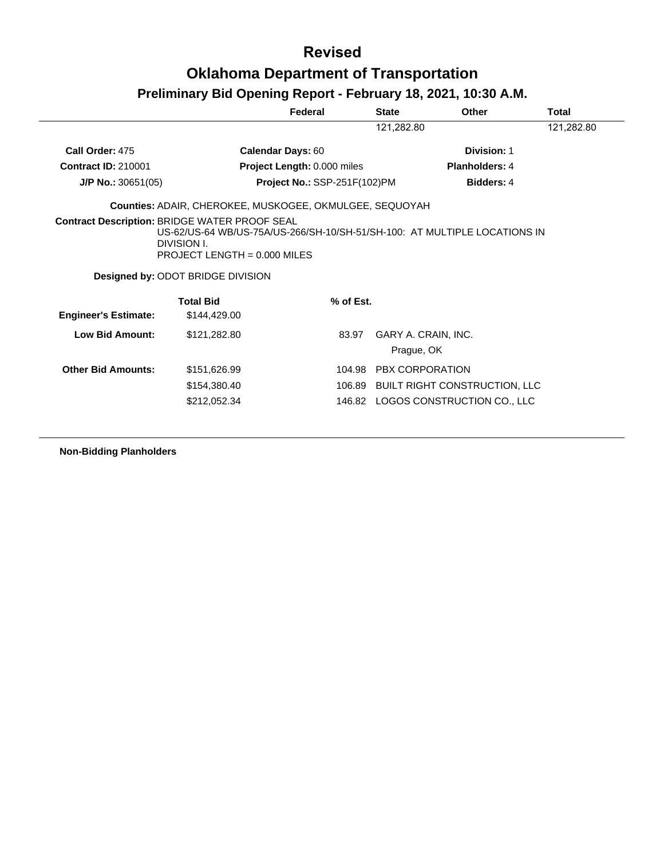# **Preliminary Bid Opening Report - February 18, 2021, 10:30 A.M.**

|                             |                                                                                                                                                                                                                         | Federal                            | <b>State</b>           | <b>Other</b>                         | Total      |
|-----------------------------|-------------------------------------------------------------------------------------------------------------------------------------------------------------------------------------------------------------------------|------------------------------------|------------------------|--------------------------------------|------------|
|                             |                                                                                                                                                                                                                         |                                    | 121,282.80             |                                      | 121,282.80 |
| Call Order: 475             | <b>Calendar Days: 60</b>                                                                                                                                                                                                |                                    |                        | Division: 1                          |            |
| <b>Contract ID: 210001</b>  |                                                                                                                                                                                                                         | <b>Project Length: 0.000 miles</b> |                        | <b>Planholders: 4</b>                |            |
| $J/P$ No.: 30651(05)        |                                                                                                                                                                                                                         | Project No.: SSP-251F(102)PM       |                        | <b>Bidders: 4</b>                    |            |
|                             | Counties: ADAIR, CHEROKEE, MUSKOGEE, OKMULGEE, SEQUOYAH                                                                                                                                                                 |                                    |                        |                                      |            |
|                             | <b>Contract Description: BRIDGE WATER PROOF SEAL</b><br>US-62/US-64 WB/US-75A/US-266/SH-10/SH-51/SH-100: AT MULTIPLE LOCATIONS IN<br>DIVISION I.<br>PROJECT LENGTH = $0.000$ MILES<br>Designed by: ODOT BRIDGE DIVISION |                                    |                        |                                      |            |
|                             |                                                                                                                                                                                                                         |                                    |                        |                                      |            |
| <b>Engineer's Estimate:</b> | <b>Total Bid</b><br>\$144,429.00                                                                                                                                                                                        | % of Est.                          |                        |                                      |            |
| Low Bid Amount:             | \$121,282.80                                                                                                                                                                                                            | 83.97                              | Prague, OK             | GARY A. CRAIN, INC.                  |            |
| <b>Other Bid Amounts:</b>   | \$151,626.99                                                                                                                                                                                                            |                                    | 104.98 PBX CORPORATION |                                      |            |
|                             | \$154,380.40                                                                                                                                                                                                            |                                    |                        | 106.89 BUILT RIGHT CONSTRUCTION, LLC |            |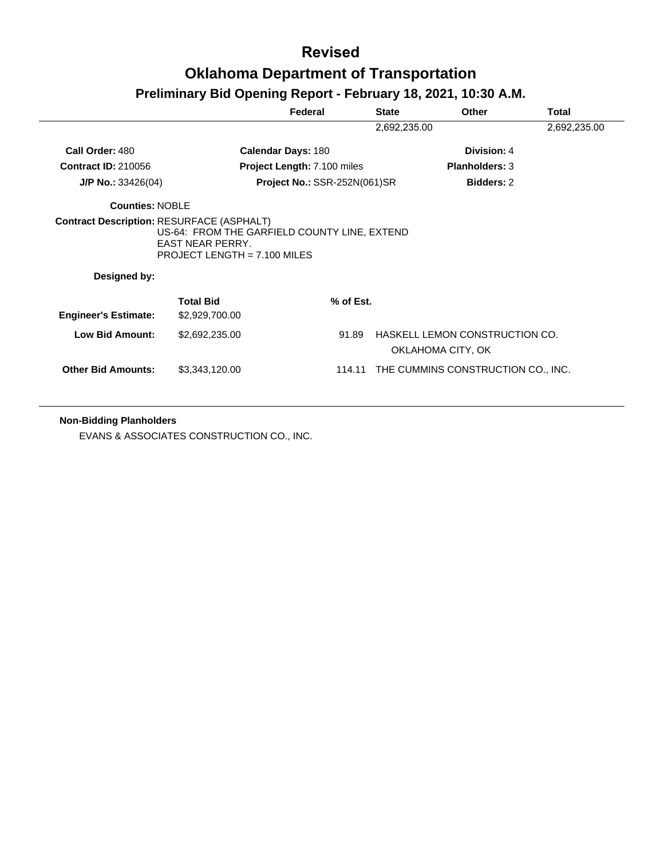## **Preliminary Bid Opening Report - February 18, 2021, 10:30 A.M.**

|                             |                                                                                                           | Federal                             | <b>State</b> | <b>Other</b>                                        | Total        |
|-----------------------------|-----------------------------------------------------------------------------------------------------------|-------------------------------------|--------------|-----------------------------------------------------|--------------|
|                             |                                                                                                           |                                     | 2,692,235.00 |                                                     | 2,692,235.00 |
| Call Order: 480             |                                                                                                           | <b>Calendar Days: 180</b>           |              | Division: 4                                         |              |
| <b>Contract ID: 210056</b>  |                                                                                                           | Project Length: 7.100 miles         |              | <b>Planholders: 3</b>                               |              |
| $J/P$ No.: 33426(04)        |                                                                                                           | <b>Project No.: SSR-252N(061)SR</b> |              | <b>Bidders: 2</b>                                   |              |
| Counties: NOBLE             |                                                                                                           |                                     |              |                                                     |              |
| Designed by:                | US-64: FROM THE GARFIELD COUNTY LINE, EXTEND<br><b>EAST NEAR PERRY.</b><br>PROJECT LENGTH = $7.100$ MILES |                                     |              |                                                     |              |
| <b>Engineer's Estimate:</b> | <b>Total Bid</b><br>\$2,929,700.00                                                                        | % of Est.                           |              |                                                     |              |
| <b>Low Bid Amount:</b>      | \$2,692,235.00                                                                                            | 91.89                               |              | HASKELL LEMON CONSTRUCTION CO.<br>OKLAHOMA CITY, OK |              |
| <b>Other Bid Amounts:</b>   | \$3,343,120.00                                                                                            | 114.11                              |              | THE CUMMINS CONSTRUCTION CO., INC.                  |              |

**Non-Bidding Planholders**

EVANS & ASSOCIATES CONSTRUCTION CO., INC.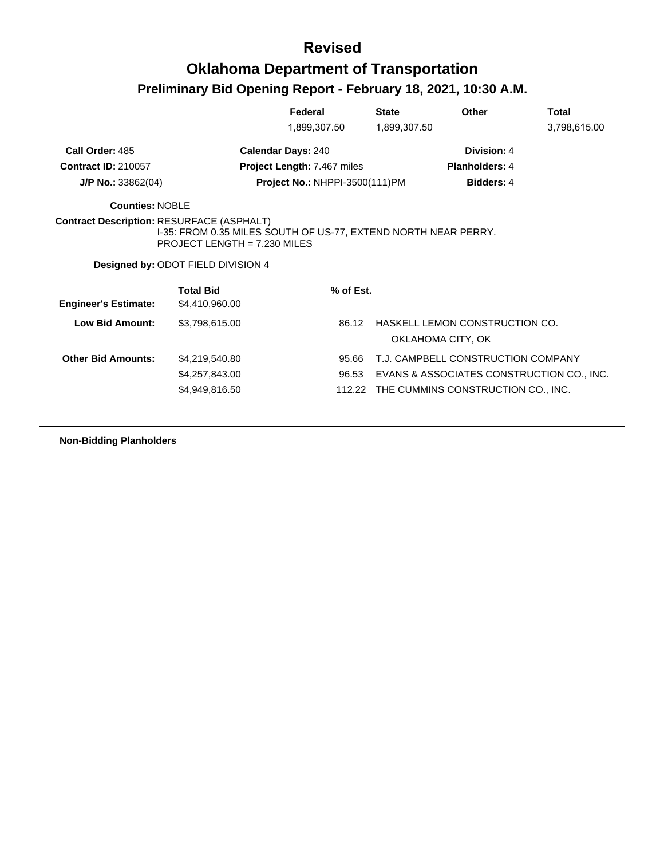|                                                  |                                                                                                                                        | Federal                               | <b>State</b> | Other                                               | Total        |
|--------------------------------------------------|----------------------------------------------------------------------------------------------------------------------------------------|---------------------------------------|--------------|-----------------------------------------------------|--------------|
|                                                  |                                                                                                                                        | 1,899,307.50                          | 1,899,307.50 |                                                     | 3,798,615.00 |
| Call Order: 485                                  |                                                                                                                                        | <b>Calendar Days: 240</b>             |              | Division: 4                                         |              |
| <b>Contract ID: 210057</b>                       |                                                                                                                                        | <b>Project Length: 7.467 miles</b>    |              | <b>Planholders: 4</b>                               |              |
| $J/P$ No.: 33862(04)                             |                                                                                                                                        | <b>Project No.: NHPPI-3500(111)PM</b> |              | <b>Bidders: 4</b>                                   |              |
| Counties: NOBLE                                  |                                                                                                                                        |                                       |              |                                                     |              |
| <b>Contract Description: RESURFACE (ASPHALT)</b> | I-35: FROM 0.35 MILES SOUTH OF US-77, EXTEND NORTH NEAR PERRY.<br>PROJECT LENGTH = $7.230$ MILES<br>Designed by: ODOT FIELD DIVISION 4 |                                       |              |                                                     |              |
| <b>Engineer's Estimate:</b>                      | <b>Total Bid</b><br>\$4,410,960.00                                                                                                     | % of Est.                             |              |                                                     |              |
| <b>Low Bid Amount:</b>                           | \$3,798,615.00                                                                                                                         | 86.12                                 |              | HASKELL LEMON CONSTRUCTION CO.<br>OKLAHOMA CITY, OK |              |
|                                                  |                                                                                                                                        |                                       |              |                                                     |              |
| <b>Other Bid Amounts:</b>                        | \$4,219,540.80                                                                                                                         | 95.66                                 |              | T.J. CAMPBELL CONSTRUCTION COMPANY                  |              |
|                                                  | \$4,257,843.00                                                                                                                         | 96.53                                 |              | EVANS & ASSOCIATES CONSTRUCTION CO., INC.           |              |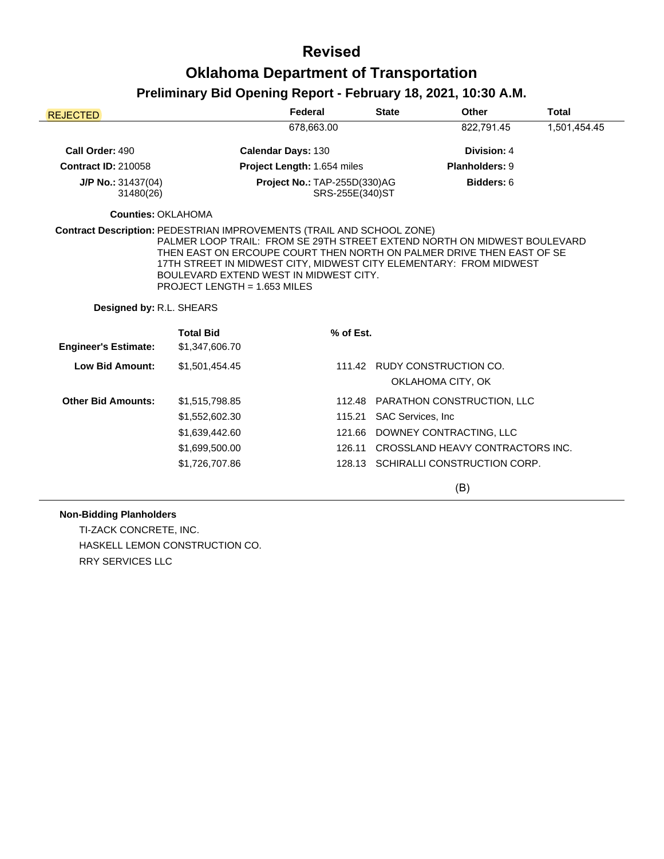# **Preliminary Bid Opening Report - February 18, 2021, 10:30 A.M.**

| <b>REJECTED</b>                   |                                                                                                                                                                                                                                                                                                   | Federal                                         | <b>State</b>              | Other                                             | <b>Total</b> |
|-----------------------------------|---------------------------------------------------------------------------------------------------------------------------------------------------------------------------------------------------------------------------------------------------------------------------------------------------|-------------------------------------------------|---------------------------|---------------------------------------------------|--------------|
|                                   |                                                                                                                                                                                                                                                                                                   | 678,663.00                                      |                           | 822,791.45                                        | 1,501,454.45 |
| Call Order: 490                   |                                                                                                                                                                                                                                                                                                   | <b>Calendar Days: 130</b>                       |                           | Division: 4                                       |              |
| <b>Contract ID: 210058</b>        |                                                                                                                                                                                                                                                                                                   | Project Length: 1.654 miles                     |                           | Planholders: 9                                    |              |
| $J/P$ No.: 31437(04)<br>31480(26) |                                                                                                                                                                                                                                                                                                   | Project No.: TAP-255D(330)AG<br>SRS-255E(340)ST |                           | Bidders: 6                                        |              |
| <b>Counties: OKLAHOMA</b>         |                                                                                                                                                                                                                                                                                                   |                                                 |                           |                                                   |              |
| Designed by: R.L. SHEARS          | PALMER LOOP TRAIL: FROM SE 29TH STREET EXTEND NORTH ON MIDWEST BOULEVARD<br>THEN EAST ON ERCOUPE COURT THEN NORTH ON PALMER DRIVE THEN EAST OF SE<br>17TH STREET IN MIDWEST CITY, MIDWEST CITY ELEMENTARY: FROM MIDWEST<br>BOULEVARD EXTEND WEST IN MIDWEST CITY.<br>PROJECT LENGTH = 1.653 MILES |                                                 |                           |                                                   |              |
|                                   | <b>Total Bid</b>                                                                                                                                                                                                                                                                                  | % of Est.                                       |                           |                                                   |              |
| <b>Engineer's Estimate:</b>       | \$1,347,606.70                                                                                                                                                                                                                                                                                    |                                                 |                           |                                                   |              |
| <b>Low Bid Amount:</b>            | \$1,501,454.45                                                                                                                                                                                                                                                                                    |                                                 |                           | 111.42 RUDY CONSTRUCTION CO.<br>OKLAHOMA CITY, OK |              |
| <b>Other Bid Amounts:</b>         | \$1,515,798.85                                                                                                                                                                                                                                                                                    | 112.48                                          |                           | <b>PARATHON CONSTRUCTION, LLC</b>                 |              |
|                                   | \$1,552,602.30                                                                                                                                                                                                                                                                                    | 115.21                                          | <b>SAC Services, Inc.</b> |                                                   |              |
|                                   | \$1,639,442.60                                                                                                                                                                                                                                                                                    | 121.66                                          |                           | DOWNEY CONTRACTING, LLC                           |              |
|                                   | \$1,699,500.00                                                                                                                                                                                                                                                                                    | 126.11                                          |                           | CROSSLAND HEAVY CONTRACTORS INC.                  |              |
|                                   | \$1,726,707.86                                                                                                                                                                                                                                                                                    |                                                 |                           | 128.13 SCHIRALLI CONSTRUCTION CORP.               |              |

(B)

### **Non-Bidding Planholders**

TI-ZACK CONCRETE, INC. HASKELL LEMON CONSTRUCTION CO. RRY SERVICES LLC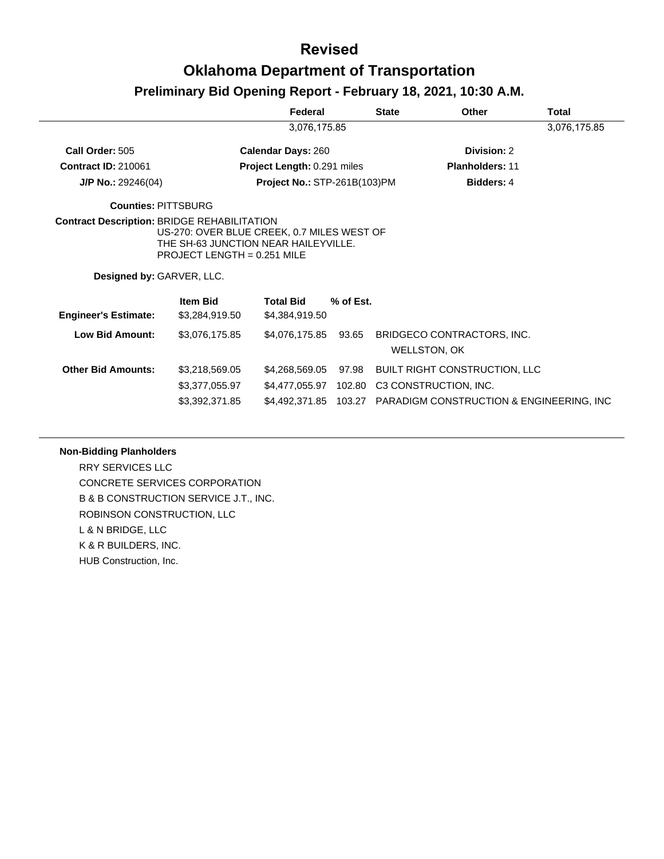## **Oklahoma Department of Transportation**

## **Preliminary Bid Opening Report - February 18, 2021, 10:30 A.M.**

|                             |                                                                                                                     | Federal                             |           | <b>State</b> | Other                                           | <b>Total</b> |
|-----------------------------|---------------------------------------------------------------------------------------------------------------------|-------------------------------------|-----------|--------------|-------------------------------------------------|--------------|
|                             |                                                                                                                     | 3,076,175.85                        |           |              |                                                 | 3,076,175.85 |
| Call Order: 505             |                                                                                                                     | <b>Calendar Days: 260</b>           |           |              | Division: 2                                     |              |
| <b>Contract ID: 210061</b>  |                                                                                                                     | Project Length: 0.291 miles         |           |              | <b>Planholders: 11</b>                          |              |
| $J/P$ No.: 29246(04)        |                                                                                                                     | <b>Project No.: STP-261B(103)PM</b> |           |              | <b>Bidders: 4</b>                               |              |
| Counties: PITTSBURG         |                                                                                                                     |                                     |           |              |                                                 |              |
| Designed by: GARVER, LLC.   | US-270: OVER BLUE CREEK, 0.7 MILES WEST OF<br>THE SH-63 JUNCTION NEAR HAILEYVILLE.<br>PROJECT LENGTH = $0.251$ MILE |                                     |           |              |                                                 |              |
| <b>Engineer's Estimate:</b> | <b>Item Bid</b><br>\$3,284,919.50                                                                                   | <b>Total Bid</b><br>\$4,384,919.50  | % of Est. |              |                                                 |              |
| <b>Low Bid Amount:</b>      | \$3,076,175.85                                                                                                      | \$4,076,175.85                      | 93.65     |              | BRIDGECO CONTRACTORS, INC.<br>WELLSTON, OK      |              |
| <b>Other Bid Amounts:</b>   | \$3,218,569.05                                                                                                      | \$4,268,569.05                      | 97.98     |              | <b>BUILT RIGHT CONSTRUCTION, LLC</b>            |              |
|                             | \$3,377,055.97                                                                                                      | \$4,477,055.97                      | 102.80    |              | C3 CONSTRUCTION, INC.                           |              |
|                             | \$3,392,371.85                                                                                                      | \$4,492,371.85                      |           |              | 103.27 PARADIGM CONSTRUCTION & ENGINEERING, INC |              |

### **Non-Bidding Planholders**

RRY SERVICES LLC CONCRETE SERVICES CORPORATION B & B CONSTRUCTION SERVICE J.T., INC. ROBINSON CONSTRUCTION, LLC L & N BRIDGE, LLC K & R BUILDERS, INC. HUB Construction, Inc.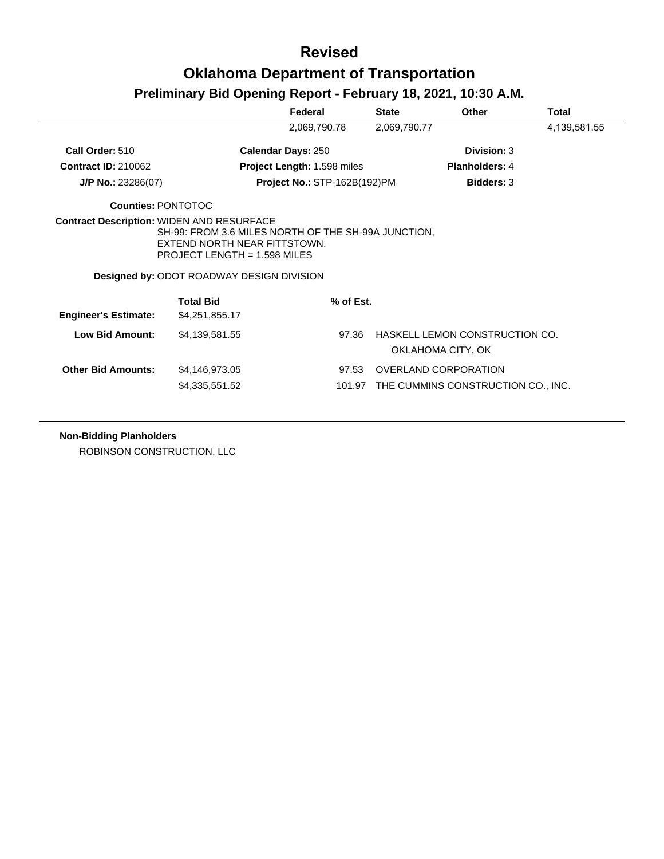# **Oklahoma Department of Transportation**

## **Preliminary Bid Opening Report - February 18, 2021, 10:30 A.M.**

|                             |                                                                                                                    | Federal                            | <b>State</b> | Other                                               | Total        |
|-----------------------------|--------------------------------------------------------------------------------------------------------------------|------------------------------------|--------------|-----------------------------------------------------|--------------|
|                             |                                                                                                                    | 2,069,790.78                       | 2,069,790.77 |                                                     | 4,139,581.55 |
| Call Order: 510             |                                                                                                                    | <b>Calendar Days: 250</b>          |              | Division: 3                                         |              |
| <b>Contract ID: 210062</b>  |                                                                                                                    | <b>Project Length: 1.598 miles</b> |              | <b>Planholders: 4</b>                               |              |
| $J/P$ No.: 23286(07)        |                                                                                                                    | Project No.: STP-162B(192)PM       |              | <b>Bidders: 3</b>                                   |              |
| <b>Counties: PONTOTOC</b>   |                                                                                                                    |                                    |              |                                                     |              |
|                             | SH-99: FROM 3.6 MILES NORTH OF THE SH-99A JUNCTION,                                                                |                                    |              |                                                     |              |
|                             | EXTEND NORTH NEAR FITTSTOWN.<br>$PROJECT LENGTH = 1.598 MILES$<br><b>Designed by: ODOT ROADWAY DESIGN DIVISION</b> |                                    |              |                                                     |              |
| <b>Engineer's Estimate:</b> | <b>Total Bid</b><br>\$4,251,855.17                                                                                 | % of Est.                          |              |                                                     |              |
| Low Bid Amount:             | \$4,139,581.55                                                                                                     | 97.36                              |              | HASKELL LEMON CONSTRUCTION CO.<br>OKLAHOMA CITY, OK |              |

**Non-Bidding Planholders**

ROBINSON CONSTRUCTION, LLC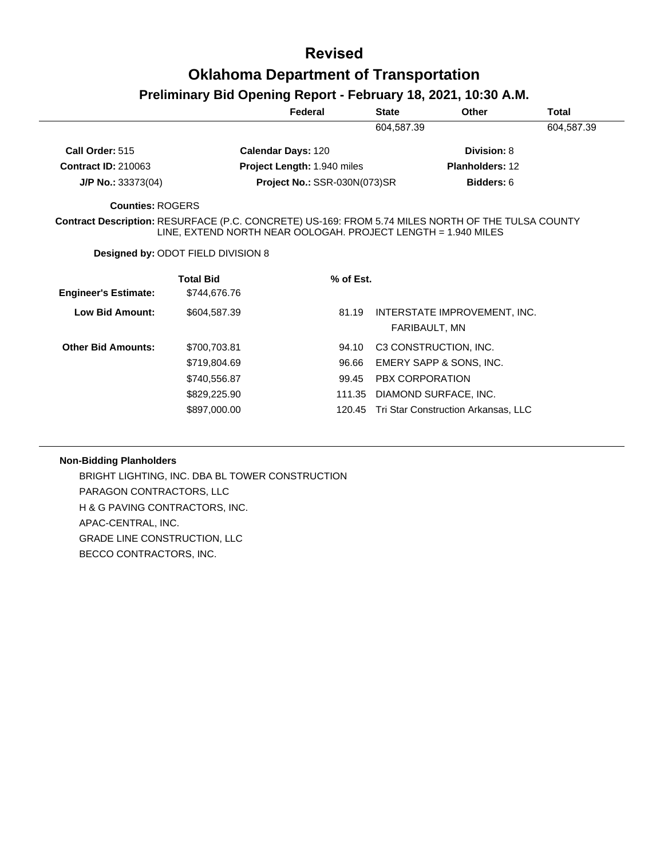### **Preliminary Bid Opening Report - February 18, 2021, 10:30 A.M.**

|                             |                                                                                                                                                                    | Federal                             | <b>State</b>           | Other                               | <b>Total</b> |
|-----------------------------|--------------------------------------------------------------------------------------------------------------------------------------------------------------------|-------------------------------------|------------------------|-------------------------------------|--------------|
|                             |                                                                                                                                                                    |                                     | 604,587.39             |                                     | 604,587.39   |
| Call Order: 515             |                                                                                                                                                                    | Calendar Days: 120                  |                        | Division: 8                         |              |
| <b>Contract ID: 210063</b>  |                                                                                                                                                                    | Project Length: 1.940 miles         |                        | <b>Planholders: 12</b>              |              |
| $J/P$ No.: 33373(04)        |                                                                                                                                                                    | <b>Project No.: SSR-030N(073)SR</b> |                        | Bidders: 6                          |              |
| Counties: ROGERS            |                                                                                                                                                                    |                                     |                        |                                     |              |
|                             | Contract Description: RESURFACE (P.C. CONCRETE) US-169: FROM 5.74 MILES NORTH OF THE TULSA COUNTY<br>LINE, EXTEND NORTH NEAR OOLOGAH. PROJECT LENGTH = 1.940 MILES |                                     |                        |                                     |              |
|                             | <b>Designed by: ODOT FIELD DIVISION 8</b>                                                                                                                          |                                     |                        |                                     |              |
|                             | <b>Total Bid</b>                                                                                                                                                   | % of Est.                           |                        |                                     |              |
| <b>Engineer's Estimate:</b> | \$744,676.76                                                                                                                                                       |                                     |                        |                                     |              |
| Low Bid Amount:             | \$604,587.39                                                                                                                                                       | 81.19                               |                        | INTERSTATE IMPROVEMENT, INC.        |              |
|                             |                                                                                                                                                                    |                                     |                        | FARIBAULT, MN                       |              |
| <b>Other Bid Amounts:</b>   | \$700,703.81                                                                                                                                                       | 94.10                               |                        | C3 CONSTRUCTION, INC.               |              |
|                             | \$719,804.69                                                                                                                                                       | 96.66                               |                        | EMERY SAPP & SONS, INC.             |              |
|                             | \$740,556.87                                                                                                                                                       | 99.45                               | <b>PBX CORPORATION</b> |                                     |              |
|                             | \$829,225.90                                                                                                                                                       | 111.35                              |                        | DIAMOND SURFACE, INC.               |              |
|                             | \$897,000.00                                                                                                                                                       | 120.45                              |                        | Tri Star Construction Arkansas, LLC |              |
|                             |                                                                                                                                                                    |                                     |                        |                                     |              |

### **Non-Bidding Planholders**

BRIGHT LIGHTING, INC. DBA BL TOWER CONSTRUCTION PARAGON CONTRACTORS, LLC H & G PAVING CONTRACTORS, INC. APAC-CENTRAL, INC. GRADE LINE CONSTRUCTION, LLC BECCO CONTRACTORS, INC.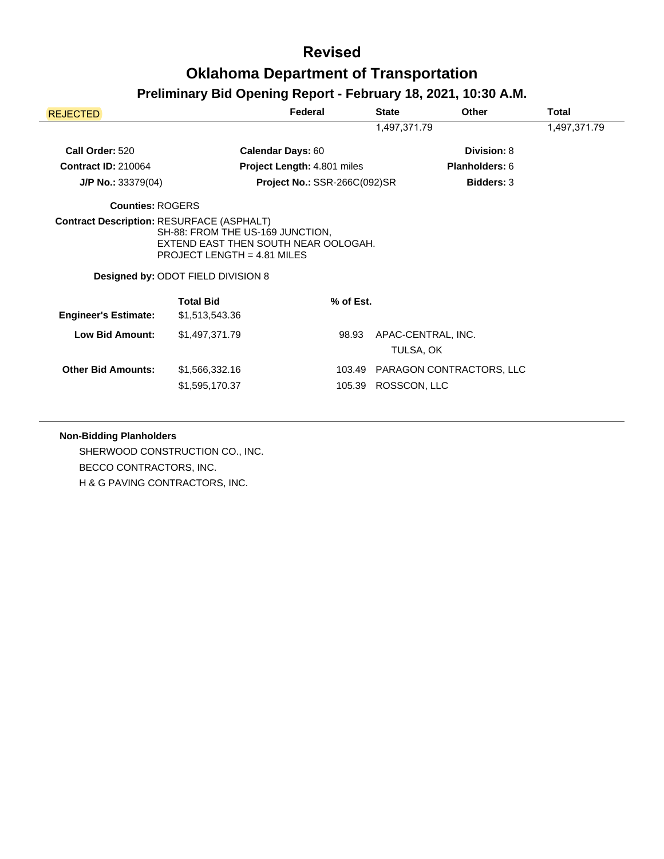## **Preliminary Bid Opening Report - February 18, 2021, 10:30 A.M.**

| <b>REJECTED</b>             |                                                                                                                                                        | Federal                      | <b>State</b>        | Other                    | Total |  |
|-----------------------------|--------------------------------------------------------------------------------------------------------------------------------------------------------|------------------------------|---------------------|--------------------------|-------|--|
|                             |                                                                                                                                                        | 1,497,371.79                 |                     |                          |       |  |
| Call Order: 520             | <b>Calendar Days: 60</b>                                                                                                                               |                              |                     | Division: 8              |       |  |
| <b>Contract ID: 210064</b>  |                                                                                                                                                        | Project Length: 4.801 miles  |                     | Planholders: 6           |       |  |
| $J/P$ No.: 33379(04)        |                                                                                                                                                        | Project No.: SSR-266C(092)SR |                     | <b>Bidders: 3</b>        |       |  |
| <b>Counties: ROGERS</b>     |                                                                                                                                                        |                              |                     |                          |       |  |
|                             | SH-88: FROM THE US-169 JUNCTION,<br>EXTEND EAST THEN SOUTH NEAR OOLOGAH.<br>PROJECT LENGTH = $4.81$ MILES<br><b>Designed by: ODOT FIELD DIVISION 8</b> |                              |                     |                          |       |  |
| <b>Engineer's Estimate:</b> | <b>Total Bid</b><br>\$1,513,543.36                                                                                                                     | $%$ of Est.                  |                     |                          |       |  |
| Low Bid Amount:             | \$1,497,371.79                                                                                                                                         | 98.93                        | TULSA, OK           | APAC-CENTRAL, INC.       |       |  |
| <b>Other Bid Amounts:</b>   | \$1,566,332.16<br>\$1,595,170.37                                                                                                                       | 103.49                       | 105.39 ROSSCON, LLC | PARAGON CONTRACTORS, LLC |       |  |

### **Non-Bidding Planholders**

SHERWOOD CONSTRUCTION CO., INC. BECCO CONTRACTORS, INC. H & G PAVING CONTRACTORS, INC.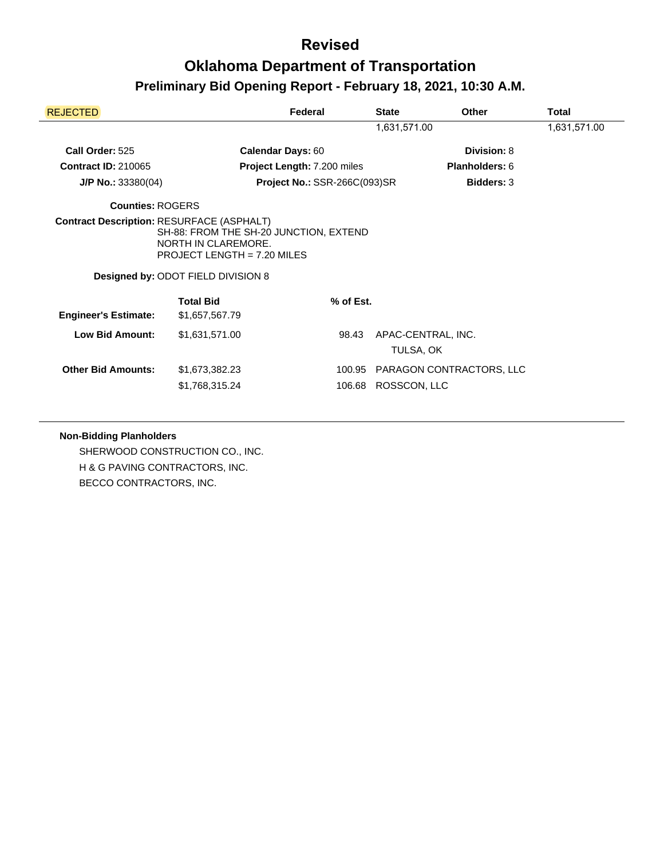| <b>REJECTED</b>                                  |                                                                                                                                             | Federal                      | <b>State</b> | <b>Other</b>             | Total |
|--------------------------------------------------|---------------------------------------------------------------------------------------------------------------------------------------------|------------------------------|--------------|--------------------------|-------|
|                                                  |                                                                                                                                             | 1,631,571.00                 |              |                          |       |
| Call Order: 525                                  |                                                                                                                                             | <b>Calendar Days: 60</b>     |              | Division: 8              |       |
| <b>Contract ID: 210065</b>                       |                                                                                                                                             | Project Length: 7.200 miles  |              | <b>Planholders: 6</b>    |       |
| $J/P$ No.: 33380(04)                             |                                                                                                                                             | Project No.: SSR-266C(093)SR |              | <b>Bidders: 3</b>        |       |
| <b>Counties: ROGERS</b>                          |                                                                                                                                             |                              |              |                          |       |
| <b>Contract Description: RESURFACE (ASPHALT)</b> | SH-88: FROM THE SH-20 JUNCTION, EXTEND<br>NORTH IN CLAREMORE.<br>PROJECT LENGTH = $7.20$ MILES<br><b>Designed by: ODOT FIELD DIVISION 8</b> |                              |              |                          |       |
| <b>Engineer's Estimate:</b>                      | <b>Total Bid</b><br>\$1,657,567.79                                                                                                          | % of Est.                    |              |                          |       |
| <b>Low Bid Amount:</b>                           | \$1,631,571.00                                                                                                                              | 98.43                        | TULSA, OK    | APAC-CENTRAL, INC.       |       |
| <b>Other Bid Amounts:</b>                        | \$1,673,382.23<br>\$1,768,315.24                                                                                                            | 100.95<br>106.68             | ROSSCON, LLC | PARAGON CONTRACTORS, LLC |       |

### **Non-Bidding Planholders**

SHERWOOD CONSTRUCTION CO., INC. H & G PAVING CONTRACTORS, INC. BECCO CONTRACTORS, INC.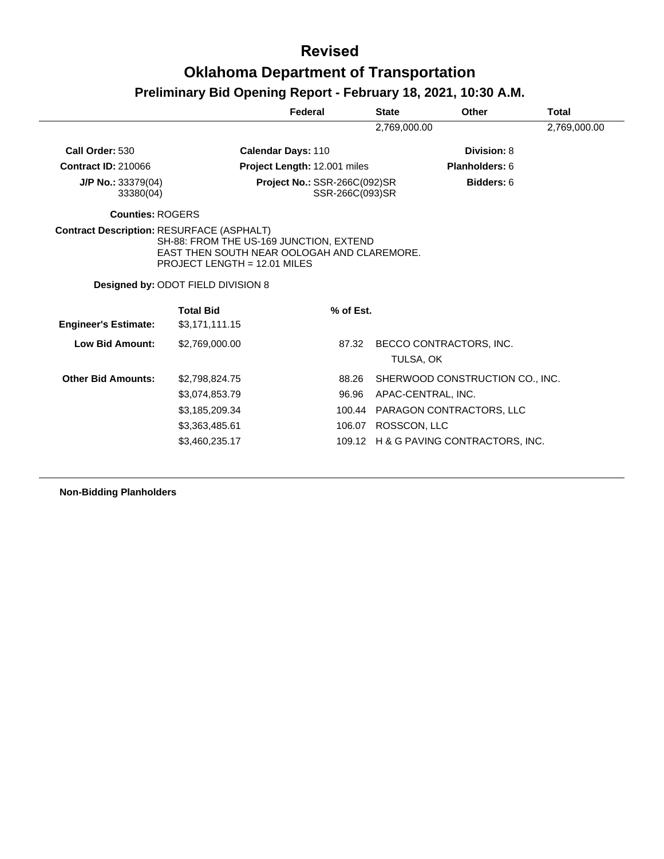# **Oklahoma Department of Transportation**

# **Preliminary Bid Opening Report - February 18, 2021, 10:30 A.M.**

|                                                  |                                                                                                                        | Federal                                         | <b>State</b> | Other                           | Total        |
|--------------------------------------------------|------------------------------------------------------------------------------------------------------------------------|-------------------------------------------------|--------------|---------------------------------|--------------|
|                                                  |                                                                                                                        |                                                 | 2,769,000.00 |                                 | 2,769,000.00 |
| Call Order: 530                                  |                                                                                                                        | <b>Calendar Days: 110</b>                       |              | Division: 8                     |              |
| <b>Contract ID: 210066</b>                       |                                                                                                                        | Project Length: 12.001 miles                    |              | <b>Planholders: 6</b>           |              |
| J/P No.: 33379(04)<br>33380(04)                  |                                                                                                                        | Project No.: SSR-266C(092)SR<br>SSR-266C(093)SR |              | Bidders: 6                      |              |
| <b>Counties: ROGERS</b>                          |                                                                                                                        |                                                 |              |                                 |              |
| <b>Contract Description: RESURFACE (ASPHALT)</b> | SH-88: FROM THE US-169 JUNCTION, EXTEND<br>EAST THEN SOUTH NEAR OOLOGAH AND CLAREMORE.<br>PROJECT LENGTH = 12.01 MILES |                                                 |              |                                 |              |
|                                                  | Designed by: ODOT FIELD DIVISION 8                                                                                     |                                                 |              |                                 |              |
|                                                  | <b>Total Bid</b>                                                                                                       | % of Est.                                       |              |                                 |              |
| <b>Engineer's Estimate:</b>                      | \$3,171,111.15                                                                                                         |                                                 |              |                                 |              |
| <b>Low Bid Amount:</b>                           | \$2,769,000.00                                                                                                         | 87.32                                           | TULSA, OK    | BECCO CONTRACTORS, INC.         |              |
| <b>Other Bid Amounts:</b>                        | \$2,798,824.75                                                                                                         | 88.26                                           |              | SHERWOOD CONSTRUCTION CO., INC. |              |
|                                                  | \$3,074,853.79                                                                                                         | 96.96                                           |              | APAC-CENTRAL, INC.              |              |
|                                                  | \$3,185,209.34                                                                                                         | 100.44                                          |              | PARAGON CONTRACTORS, LLC        |              |
|                                                  | \$3,363,485.61                                                                                                         | 106.07                                          | ROSSCON, LLC |                                 |              |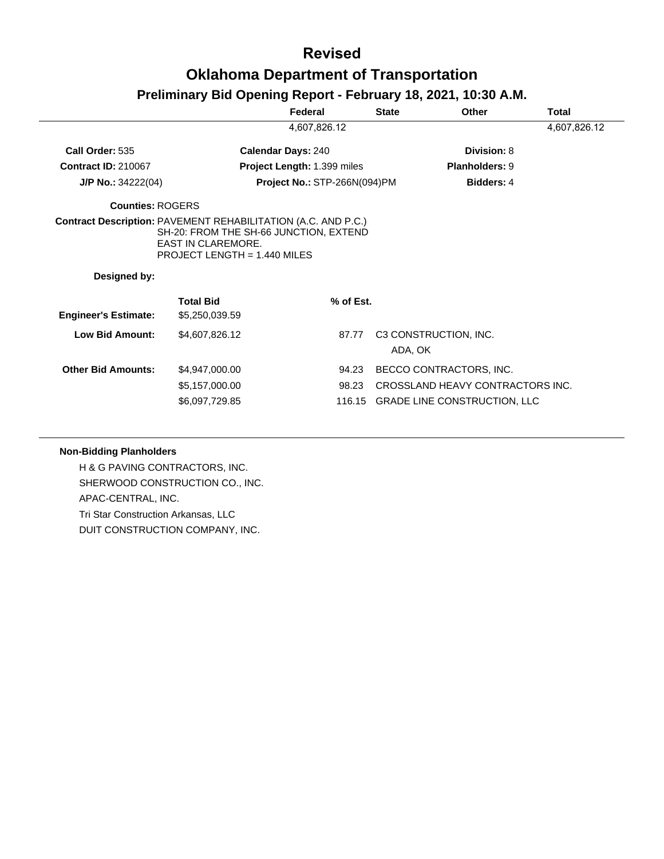# **Oklahoma Department of Transportation**

## **Preliminary Bid Opening Report - February 18, 2021, 10:30 A.M.**

|                             |                                                                                                                                                                      | Federal                      | <b>State</b>             | Other                                                                                              | Total        |
|-----------------------------|----------------------------------------------------------------------------------------------------------------------------------------------------------------------|------------------------------|--------------------------|----------------------------------------------------------------------------------------------------|--------------|
|                             |                                                                                                                                                                      | 4,607,826.12                 |                          |                                                                                                    | 4,607,826.12 |
| Call Order: 535             | <b>Calendar Days: 240</b>                                                                                                                                            |                              |                          | Division: 8                                                                                        |              |
| <b>Contract ID: 210067</b>  |                                                                                                                                                                      | Project Length: 1.399 miles  |                          | <b>Planholders: 9</b>                                                                              |              |
| $J/P$ No.: 34222(04)        |                                                                                                                                                                      | Project No.: STP-266N(094)PM |                          | Bidders: 4                                                                                         |              |
| <b>Counties: ROGERS</b>     |                                                                                                                                                                      |                              |                          |                                                                                                    |              |
|                             | <b>Contract Description: PAVEMENT REHABILITATION (A.C. AND P.C.)</b><br>SH-20: FROM THE SH-66 JUNCTION, EXTEND<br>EAST IN CLAREMORE.<br>PROJECT LENGTH = 1.440 MILES |                              |                          |                                                                                                    |              |
| Designed by:                |                                                                                                                                                                      |                              |                          |                                                                                                    |              |
| <b>Engineer's Estimate:</b> | <b>Total Bid</b><br>\$5,250,039.59                                                                                                                                   |                              | % of Est.                |                                                                                                    |              |
| Low Bid Amount:             | \$4,607,826.12                                                                                                                                                       |                              | 87.77                    | C3 CONSTRUCTION, INC.<br>ADA, OK                                                                   |              |
| <b>Other Bid Amounts:</b>   | \$4,947,000.00<br>\$5,157,000.00<br>\$6,097,729.85                                                                                                                   |                              | 94.23<br>98.23<br>116.15 | BECCO CONTRACTORS, INC.<br>CROSSLAND HEAVY CONTRACTORS INC.<br><b>GRADE LINE CONSTRUCTION, LLC</b> |              |

### **Non-Bidding Planholders**

H & G PAVING CONTRACTORS, INC. SHERWOOD CONSTRUCTION CO., INC. APAC-CENTRAL, INC. Tri Star Construction Arkansas, LLC DUIT CONSTRUCTION COMPANY, INC.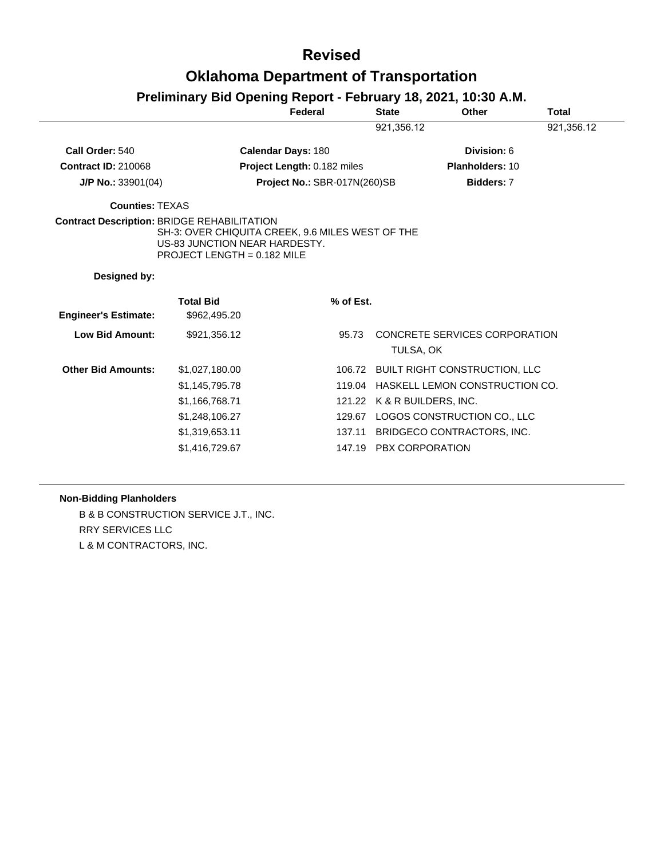| Preliminary Bid Opening Report - February 18, 2021, 10:30 A.M. |                                                                                                                                                                          |                              |              |                                            |              |
|----------------------------------------------------------------|--------------------------------------------------------------------------------------------------------------------------------------------------------------------------|------------------------------|--------------|--------------------------------------------|--------------|
|                                                                |                                                                                                                                                                          | Federal                      | <b>State</b> | Other                                      | <b>Total</b> |
|                                                                |                                                                                                                                                                          |                              | 921,356.12   |                                            | 921,356.12   |
| Call Order: 540                                                |                                                                                                                                                                          | <b>Calendar Days: 180</b>    |              | Division: 6                                |              |
| <b>Contract ID: 210068</b>                                     |                                                                                                                                                                          | Project Length: 0.182 miles  |              | Planholders: 10                            |              |
| $J/P$ No.: 33901(04)                                           |                                                                                                                                                                          | Project No.: SBR-017N(260)SB |              | Bidders: 7                                 |              |
| <b>Counties: TEXAS</b>                                         |                                                                                                                                                                          |                              |              |                                            |              |
|                                                                | <b>Contract Description: BRIDGE REHABILITATION</b><br>SH-3: OVER CHIQUITA CREEK, 9.6 MILES WEST OF THE<br>US-83 JUNCTION NEAR HARDESTY.<br>PROJECT LENGTH = $0.182$ MILE |                              |              |                                            |              |
| Designed by:                                                   |                                                                                                                                                                          |                              |              |                                            |              |
| <b>Engineer's Estimate:</b>                                    | <b>Total Bid</b><br>\$962,495.20                                                                                                                                         | % of Est.                    |              |                                            |              |
| <b>Low Bid Amount:</b>                                         | \$921,356.12                                                                                                                                                             | 95.73                        |              | CONCRETE SERVICES CORPORATION<br>TULSA, OK |              |
| <b>Other Bid Amounts:</b>                                      | \$1,027,180.00                                                                                                                                                           |                              | 106.72       | BUILT RIGHT CONSTRUCTION, LLC              |              |
|                                                                | \$1,145,795.78                                                                                                                                                           |                              | 119.04       | HASKELL LEMON CONSTRUCTION CO.             |              |
|                                                                | \$1,166,768.71                                                                                                                                                           |                              |              | 121.22 K & R BUILDERS, INC.                |              |
|                                                                | \$1,248,106.27                                                                                                                                                           |                              | 129.67       | LOGOS CONSTRUCTION CO., LLC                |              |
|                                                                | \$1,319,653.11                                                                                                                                                           |                              | 137.11       | BRIDGECO CONTRACTORS, INC.                 |              |
|                                                                | \$1,416,729.67                                                                                                                                                           |                              |              | 147.19 PBX CORPORATION                     |              |

### **Non-Bidding Planholders**

B & B CONSTRUCTION SERVICE J.T., INC. RRY SERVICES LLC L & M CONTRACTORS, INC.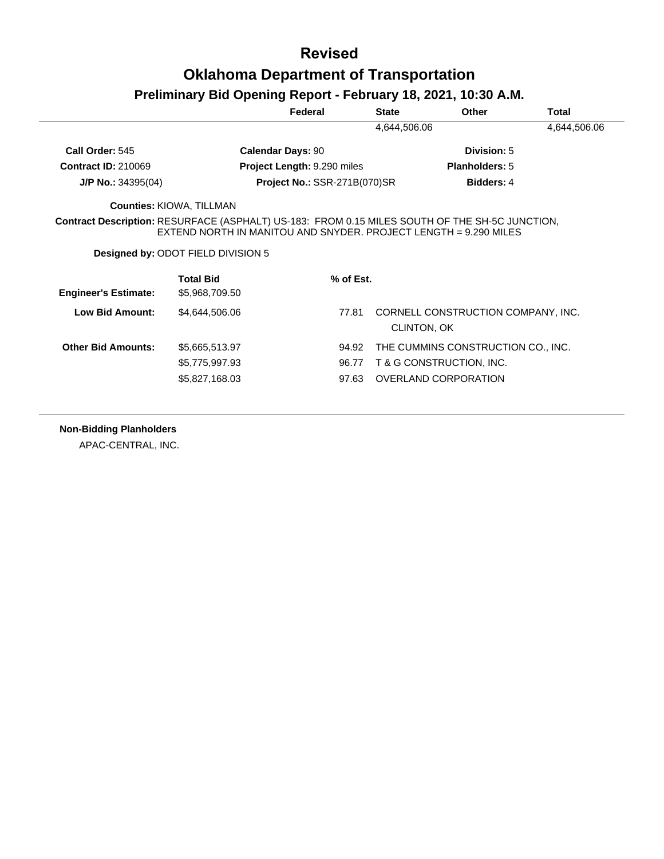# **Oklahoma Department of Transportation**

## **Preliminary Bid Opening Report - February 18, 2021, 10:30 A.M.**

|                             |                                                                                                                                                                    | Federal                             | <b>State</b> | <b>Other</b>                       | Total        |
|-----------------------------|--------------------------------------------------------------------------------------------------------------------------------------------------------------------|-------------------------------------|--------------|------------------------------------|--------------|
|                             |                                                                                                                                                                    |                                     | 4,644,506.06 |                                    | 4,644,506.06 |
| Call Order: 545             | <b>Calendar Days: 90</b>                                                                                                                                           |                                     |              | Division: 5                        |              |
| <b>Contract ID: 210069</b>  |                                                                                                                                                                    | Project Length: 9.290 miles         |              | <b>Planholders: 5</b>              |              |
| $J/P$ No.: 34395(04)        |                                                                                                                                                                    | <b>Project No.: SSR-271B(070)SR</b> |              | <b>Bidders: 4</b>                  |              |
|                             | <b>Counties: KIOWA, TILLMAN</b>                                                                                                                                    |                                     |              |                                    |              |
|                             | Contract Description: RESURFACE (ASPHALT) US-183: FROM 0.15 MILES SOUTH OF THE SH-5C JUNCTION,<br>EXTEND NORTH IN MANITOU AND SNYDER. PROJECT LENGTH = 9.290 MILES |                                     |              |                                    |              |
|                             | <b>Designed by: ODOT FIELD DIVISION 5</b>                                                                                                                          |                                     |              |                                    |              |
| <b>Engineer's Estimate:</b> | <b>Total Bid</b><br>\$5,968,709.50                                                                                                                                 | % of Est.                           |              |                                    |              |
| <b>Low Bid Amount:</b>      | \$4,644,506.06                                                                                                                                                     | 77.81                               | CLINTON, OK  | CORNELL CONSTRUCTION COMPANY, INC. |              |
| <b>Other Bid Amounts:</b>   | \$5,665,513.97                                                                                                                                                     | 94.92                               |              | THE CUMMINS CONSTRUCTION CO., INC. |              |
|                             | \$5,775,997.93                                                                                                                                                     | 96.77                               |              | T & G CONSTRUCTION, INC.           |              |

**Non-Bidding Planholders**

APAC-CENTRAL, INC.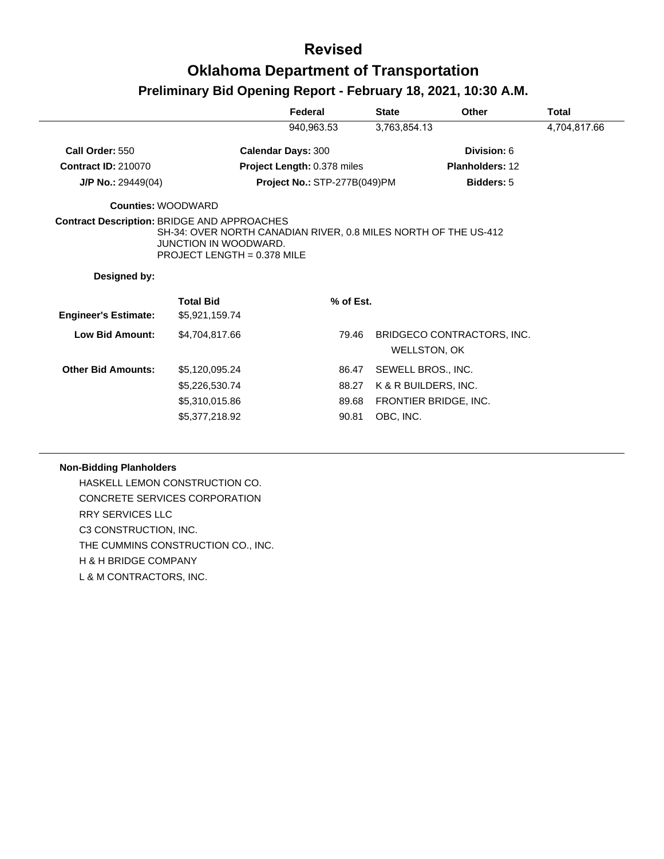|                                                    |                                                                                                                           | Federal                          | <b>State</b> | <b>Other</b>                                                        | <b>Total</b> |
|----------------------------------------------------|---------------------------------------------------------------------------------------------------------------------------|----------------------------------|--------------|---------------------------------------------------------------------|--------------|
|                                                    |                                                                                                                           | 940,963.53                       | 3,763,854.13 |                                                                     | 4,704,817.66 |
| Call Order: 550                                    |                                                                                                                           | <b>Calendar Days: 300</b>        |              | Division: 6                                                         |              |
| <b>Contract ID: 210070</b>                         |                                                                                                                           | Project Length: 0.378 miles      |              | Planholders: 12                                                     |              |
| $J/P$ No.: 29449(04)                               |                                                                                                                           | Project No.: STP-277B(049)PM     |              | <b>Bidders: 5</b>                                                   |              |
| <b>Counties: WOODWARD</b>                          |                                                                                                                           |                                  |              |                                                                     |              |
| <b>Contract Description: BRIDGE AND APPROACHES</b> | SH-34: OVER NORTH CANADIAN RIVER, 0.8 MILES NORTH OF THE US-412<br>JUNCTION IN WOODWARD.<br>PROJECT LENGTH = $0.378$ MILE |                                  |              |                                                                     |              |
| Designed by:                                       |                                                                                                                           |                                  |              |                                                                     |              |
| <b>Engineer's Estimate:</b>                        | <b>Total Bid</b><br>\$5,921,159.74                                                                                        | % of Est.                        |              |                                                                     |              |
| <b>Low Bid Amount:</b>                             | \$4,704,817.66                                                                                                            | 79.46                            |              | BRIDGECO CONTRACTORS, INC.<br>WELLSTON, OK                          |              |
| <b>Other Bid Amounts:</b>                          | \$5,120,095.24<br>\$5,226,530.74<br>\$5,310,015.86<br>\$5,377,218.92                                                      | 86.47<br>88.27<br>89.68<br>90.81 | OBC, INC.    | SEWELL BROS., INC.<br>K & R BUILDERS, INC.<br>FRONTIER BRIDGE, INC. |              |
|                                                    |                                                                                                                           |                                  |              |                                                                     |              |

### **Non-Bidding Planholders**

HASKELL LEMON CONSTRUCTION CO. CONCRETE SERVICES CORPORATION RRY SERVICES LLC C3 CONSTRUCTION, INC. THE CUMMINS CONSTRUCTION CO., INC. H & H BRIDGE COMPANY L & M CONTRACTORS, INC.